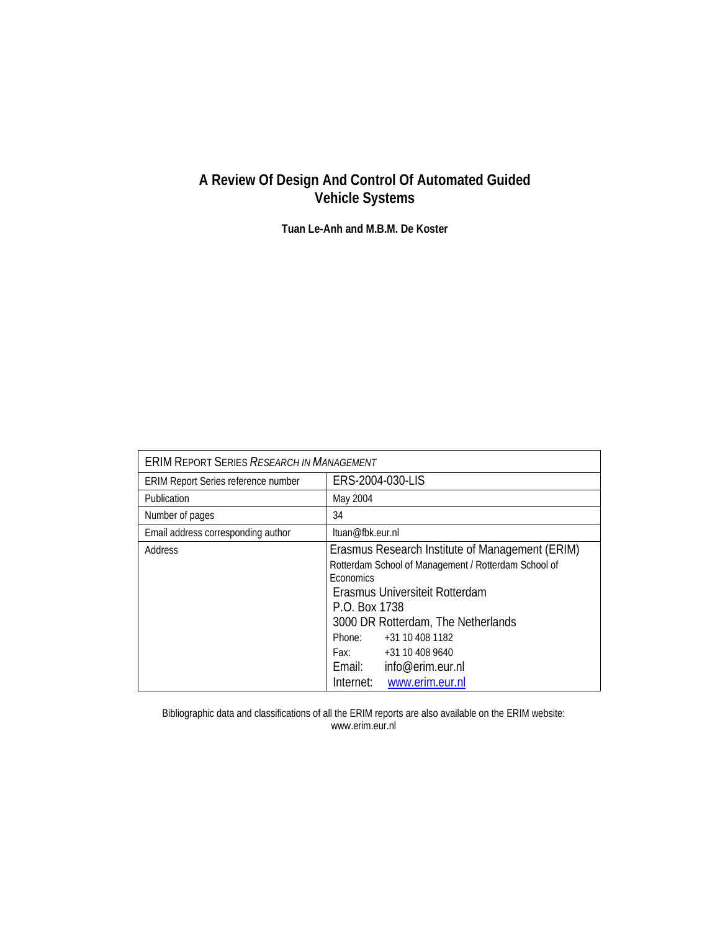## **A Review Of Design And Control Of Automated Guided Vehicle Systems**

**Tuan Le-Anh and M.B.M. De Koster** 

| <b>ERIM REPORT SERIES RESEARCH IN MANAGEMENT</b> |                                                                                                                                                                                                                                                                                                                                      |  |  |  |  |
|--------------------------------------------------|--------------------------------------------------------------------------------------------------------------------------------------------------------------------------------------------------------------------------------------------------------------------------------------------------------------------------------------|--|--|--|--|
| <b>ERIM Report Series reference number</b>       | ERS-2004-030-LIS                                                                                                                                                                                                                                                                                                                     |  |  |  |  |
| Publication                                      | May 2004                                                                                                                                                                                                                                                                                                                             |  |  |  |  |
| Number of pages                                  | 34                                                                                                                                                                                                                                                                                                                                   |  |  |  |  |
| Email address corresponding author               | ltuan@fbk.eur.nl                                                                                                                                                                                                                                                                                                                     |  |  |  |  |
| Address                                          | Erasmus Research Institute of Management (ERIM)<br>Rotterdam School of Management / Rotterdam School of<br><b>Economics</b><br>Erasmus Universiteit Rotterdam<br>P.O. Box 1738<br>3000 DR Rotterdam, The Netherlands<br>Phone:<br>+31 10 408 1182<br>+31 10 408 9640<br>Fax:<br>Email: info@erim.eur.nl<br>Internet: www.erim.eur.nl |  |  |  |  |

Bibliographic data and classifications of all the ERIM reports are also available on the ERIM website: www.erim.eur.nl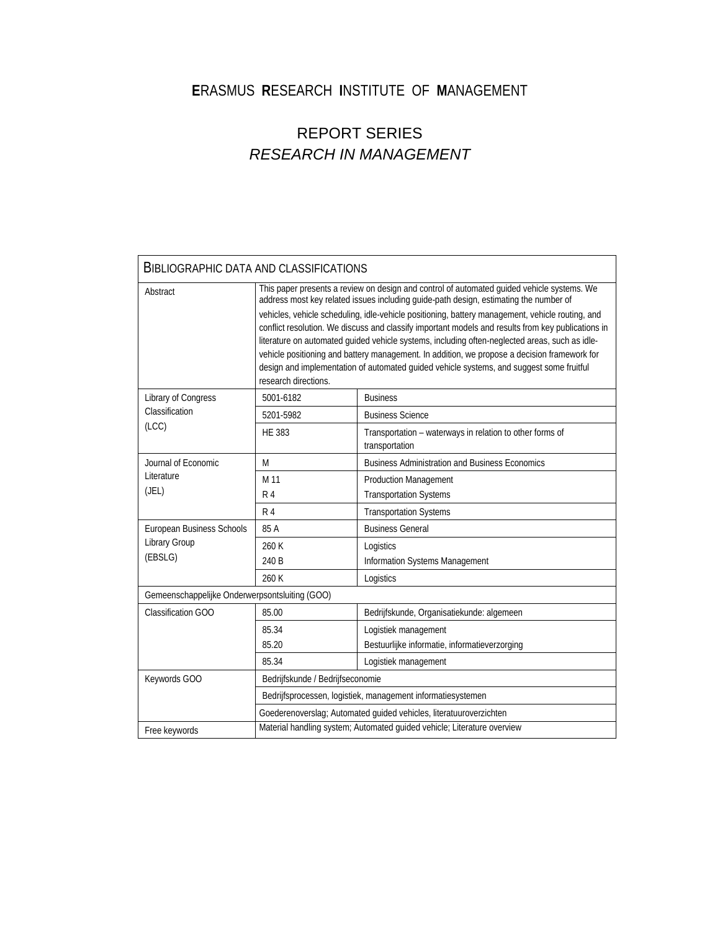## **E**RASMUS **R**ESEARCH **I**NSTITUTE OF **M**ANAGEMENT

# REPORT SERIES *RESEARCH IN MANAGEMENT*

| <b>BIBLIOGRAPHIC DATA AND CLASSIFICATIONS</b>  |                                                                                                                                                                                                                                                                                                                                                                                                                                                                                                                                                                                                                                                                                                                     |                                                                            |  |  |  |  |
|------------------------------------------------|---------------------------------------------------------------------------------------------------------------------------------------------------------------------------------------------------------------------------------------------------------------------------------------------------------------------------------------------------------------------------------------------------------------------------------------------------------------------------------------------------------------------------------------------------------------------------------------------------------------------------------------------------------------------------------------------------------------------|----------------------------------------------------------------------------|--|--|--|--|
| Abstract                                       | This paper presents a review on design and control of automated guided vehicle systems. We<br>address most key related issues including guide-path design, estimating the number of<br>vehicles, vehicle scheduling, idle-vehicle positioning, battery management, vehicle routing, and<br>conflict resolution. We discuss and classify important models and results from key publications in<br>literature on automated guided vehicle systems, including often-neglected areas, such as idle-<br>vehicle positioning and battery management. In addition, we propose a decision framework for<br>design and implementation of automated guided vehicle systems, and suggest some fruitful<br>research directions. |                                                                            |  |  |  |  |
| Library of Congress                            | 5001-6182                                                                                                                                                                                                                                                                                                                                                                                                                                                                                                                                                                                                                                                                                                           | <b>Business</b>                                                            |  |  |  |  |
| Classification                                 | 5201-5982                                                                                                                                                                                                                                                                                                                                                                                                                                                                                                                                                                                                                                                                                                           | <b>Business Science</b>                                                    |  |  |  |  |
| (ICC)                                          | <b>HE 383</b>                                                                                                                                                                                                                                                                                                                                                                                                                                                                                                                                                                                                                                                                                                       | Transportation - waterways in relation to other forms of<br>transportation |  |  |  |  |
| Journal of Economic                            | M                                                                                                                                                                                                                                                                                                                                                                                                                                                                                                                                                                                                                                                                                                                   | <b>Business Administration and Business Economics</b>                      |  |  |  |  |
| Literature                                     | M 11                                                                                                                                                                                                                                                                                                                                                                                                                                                                                                                                                                                                                                                                                                                | <b>Production Management</b>                                               |  |  |  |  |
| (JEL)                                          | R <sub>4</sub>                                                                                                                                                                                                                                                                                                                                                                                                                                                                                                                                                                                                                                                                                                      | <b>Transportation Systems</b>                                              |  |  |  |  |
|                                                | R <sub>4</sub>                                                                                                                                                                                                                                                                                                                                                                                                                                                                                                                                                                                                                                                                                                      | <b>Transportation Systems</b>                                              |  |  |  |  |
| European Business Schools                      | 85 A                                                                                                                                                                                                                                                                                                                                                                                                                                                                                                                                                                                                                                                                                                                | <b>Business General</b>                                                    |  |  |  |  |
| Library Group                                  | 260 K                                                                                                                                                                                                                                                                                                                                                                                                                                                                                                                                                                                                                                                                                                               | Logistics                                                                  |  |  |  |  |
| (EBSLG)                                        | 240 B                                                                                                                                                                                                                                                                                                                                                                                                                                                                                                                                                                                                                                                                                                               | Information Systems Management                                             |  |  |  |  |
|                                                | 260 K                                                                                                                                                                                                                                                                                                                                                                                                                                                                                                                                                                                                                                                                                                               | Logistics                                                                  |  |  |  |  |
| Gemeenschappelijke Onderwerpsontsluiting (GOO) |                                                                                                                                                                                                                                                                                                                                                                                                                                                                                                                                                                                                                                                                                                                     |                                                                            |  |  |  |  |
| <b>Classification GOO</b>                      | 85.00                                                                                                                                                                                                                                                                                                                                                                                                                                                                                                                                                                                                                                                                                                               | Bedrijfskunde, Organisatiekunde: algemeen                                  |  |  |  |  |
|                                                | 85.34                                                                                                                                                                                                                                                                                                                                                                                                                                                                                                                                                                                                                                                                                                               | Logistiek management                                                       |  |  |  |  |
|                                                | 85.20                                                                                                                                                                                                                                                                                                                                                                                                                                                                                                                                                                                                                                                                                                               | Bestuurlijke informatie, informatieverzorging                              |  |  |  |  |
|                                                | 85.34                                                                                                                                                                                                                                                                                                                                                                                                                                                                                                                                                                                                                                                                                                               | Logistiek management                                                       |  |  |  |  |
| Keywords GOO                                   | Bedrijfskunde / Bedrijfseconomie                                                                                                                                                                                                                                                                                                                                                                                                                                                                                                                                                                                                                                                                                    |                                                                            |  |  |  |  |
|                                                | Bedrijfsprocessen, logistiek, management informatiesystemen                                                                                                                                                                                                                                                                                                                                                                                                                                                                                                                                                                                                                                                         |                                                                            |  |  |  |  |
|                                                | Goederenoverslag; Automated guided vehicles, literatuuroverzichten                                                                                                                                                                                                                                                                                                                                                                                                                                                                                                                                                                                                                                                  |                                                                            |  |  |  |  |
| Free keywords                                  | Material handling system; Automated quided vehicle; Literature overview                                                                                                                                                                                                                                                                                                                                                                                                                                                                                                                                                                                                                                             |                                                                            |  |  |  |  |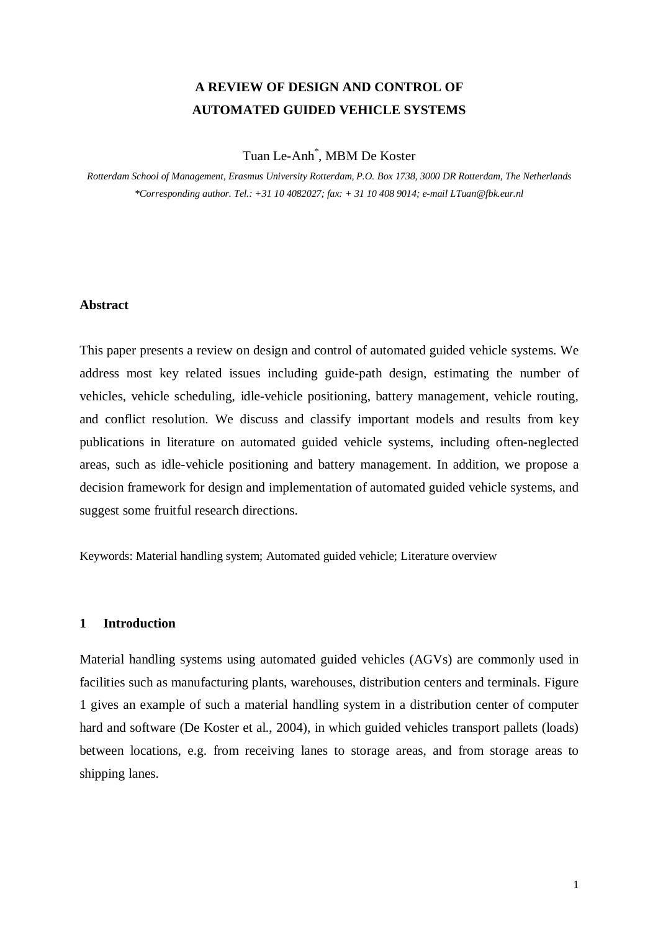## **A REVIEW OF DESIGN AND CONTROL OF AUTOMATED GUIDED VEHICLE SYSTEMS**

### Tuan Le-Anh\* , MBM De Koster

*Rotterdam School of Management, Erasmus University Rotterdam, P.O. Box 1738, 3000 DR Rotterdam, The Netherlands \*Corresponding author. Tel.: +31 10 4082027; fax: + 31 10 408 9014; e-mail LTuan@fbk.eur.nl* 

#### **Abstract**

This paper presents a review on design and control of automated guided vehicle systems. We address most key related issues including guide-path design, estimating the number of vehicles, vehicle scheduling, idle-vehicle positioning, battery management, vehicle routing, and conflict resolution. We discuss and classify important models and results from key publications in literature on automated guided vehicle systems, including often-neglected areas, such as idle-vehicle positioning and battery management. In addition, we propose a decision framework for design and implementation of automated guided vehicle systems, and suggest some fruitful research directions.

Keywords: Material handling system; Automated guided vehicle; Literature overview

#### **1 Introduction**

Material handling systems using automated guided vehicles (AGVs) are commonly used in facilities such as manufacturing plants, warehouses, distribution centers and terminals. Figure 1 gives an example of such a material handling system in a distribution center of computer hard and software (De Koster et al., 2004), in which guided vehicles transport pallets (loads) between locations, e.g. from receiving lanes to storage areas, and from storage areas to shipping lanes.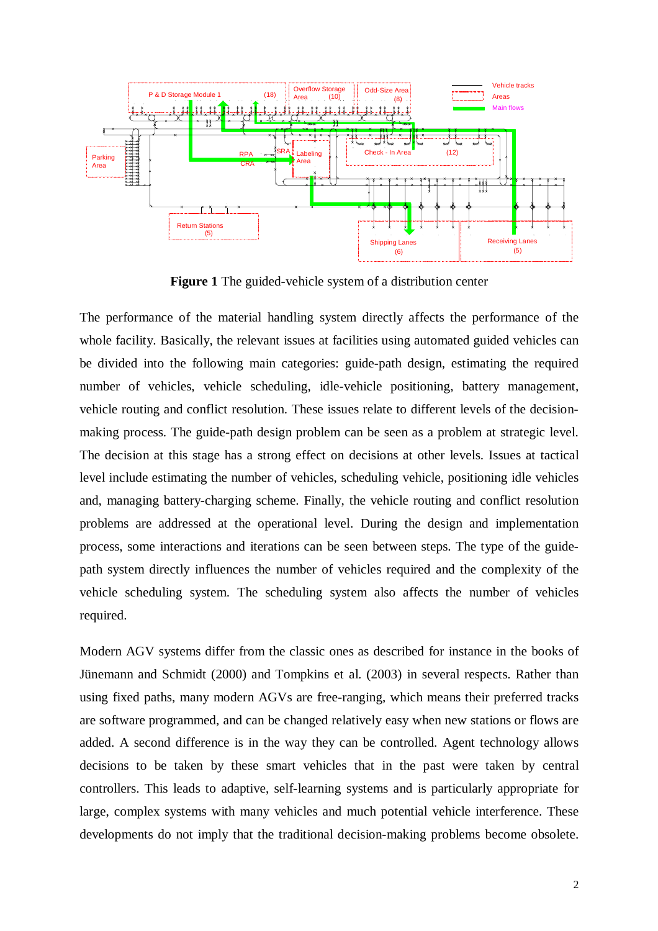

**Figure 1** The guided-vehicle system of a distribution center

The performance of the material handling system directly affects the performance of the whole facility. Basically, the relevant issues at facilities using automated guided vehicles can be divided into the following main categories: guide-path design, estimating the required number of vehicles, vehicle scheduling, idle-vehicle positioning, battery management, vehicle routing and conflict resolution. These issues relate to different levels of the decisionmaking process. The guide-path design problem can be seen as a problem at strategic level. The decision at this stage has a strong effect on decisions at other levels. Issues at tactical level include estimating the number of vehicles, scheduling vehicle, positioning idle vehicles and, managing battery-charging scheme. Finally, the vehicle routing and conflict resolution problems are addressed at the operational level. During the design and implementation process, some interactions and iterations can be seen between steps. The type of the guidepath system directly influences the number of vehicles required and the complexity of the vehicle scheduling system. The scheduling system also affects the number of vehicles required.

Modern AGV systems differ from the classic ones as described for instance in the books of Jünemann and Schmidt (2000) and Tompkins et al. (2003) in several respects. Rather than using fixed paths, many modern AGVs are free-ranging, which means their preferred tracks are software programmed, and can be changed relatively easy when new stations or flows are added. A second difference is in the way they can be controlled. Agent technology allows decisions to be taken by these smart vehicles that in the past were taken by central controllers. This leads to adaptive, self-learning systems and is particularly appropriate for large, complex systems with many vehicles and much potential vehicle interference. These developments do not imply that the traditional decision-making problems become obsolete.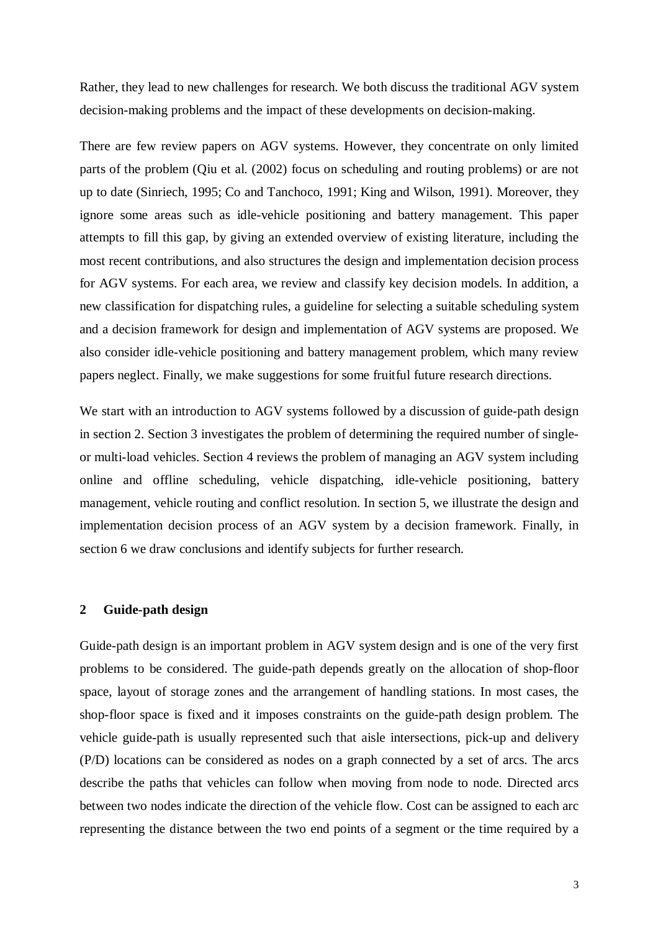Rather, they lead to new challenges for research. We both discuss the traditional AGV system decision-making problems and the impact of these developments on decision-making.

There are few review papers on AGV systems. However, they concentrate on only limited parts of the problem (Qiu et al. (2002) focus on scheduling and routing problems) or are not up to date (Sinriech, 1995; Co and Tanchoco, 1991; King and Wilson, 1991). Moreover, they ignore some areas such as idle-vehicle positioning and battery management. This paper attempts to fill this gap, by giving an extended overview of existing literature, including the most recent contributions, and also structures the design and implementation decision process for AGV systems. For each area, we review and classify key decision models. In addition, a new classification for dispatching rules, a guideline for selecting a suitable scheduling system and a decision framework for design and implementation of AGV systems are proposed. We also consider idle-vehicle positioning and battery management problem, which many review papers neglect. Finally, we make suggestions for some fruitful future research directions.

We start with an introduction to AGV systems followed by a discussion of guide-path design in section 2. Section 3 investigates the problem of determining the required number of singleor multi-load vehicles. Section 4 reviews the problem of managing an AGV system including online and offline scheduling, vehicle dispatching, idle-vehicle positioning, battery management, vehicle routing and conflict resolution. In section 5, we illustrate the design and implementation decision process of an AGV system by a decision framework. Finally, in section 6 we draw conclusions and identify subjects for further research.

#### **2 Guide-path design**

Guide-path design is an important problem in AGV system design and is one of the very first problems to be considered. The guide-path depends greatly on the allocation of shop-floor space, layout of storage zones and the arrangement of handling stations. In most cases, the shop-floor space is fixed and it imposes constraints on the guide-path design problem. The vehicle guide-path is usually represented such that aisle intersections, pick-up and delivery (P/D) locations can be considered as nodes on a graph connected by a set of arcs. The arcs describe the paths that vehicles can follow when moving from node to node. Directed arcs between two nodes indicate the direction of the vehicle flow. Cost can be assigned to each arc representing the distance between the two end points of a segment or the time required by a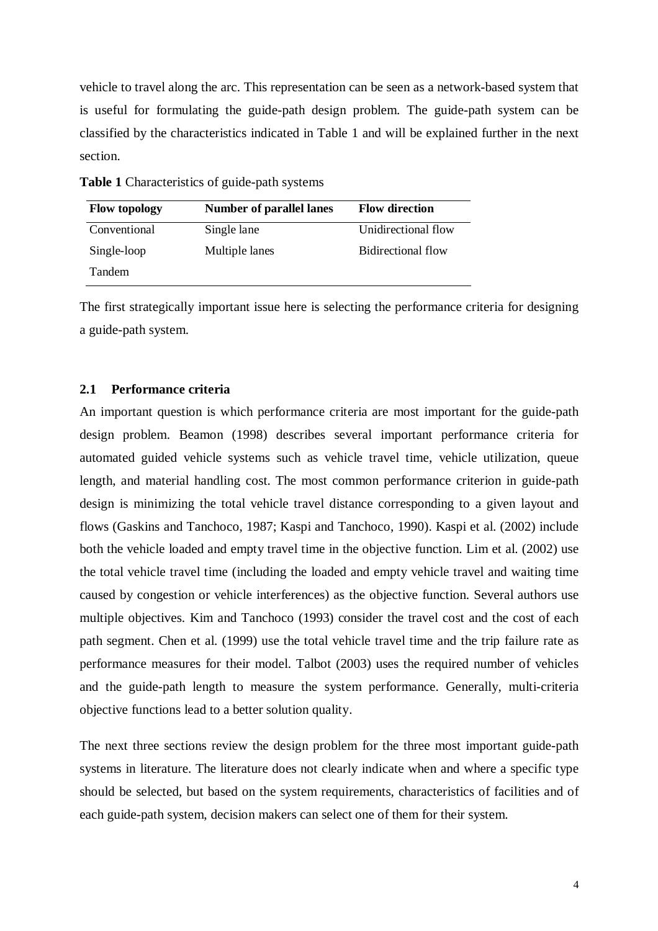vehicle to travel along the arc. This representation can be seen as a network-based system that is useful for formulating the guide-path design problem. The guide-path system can be classified by the characteristics indicated in Table 1 and will be explained further in the next section.

**Table 1** Characteristics of guide-path systems

| <b>Flow topology</b> | <b>Number of parallel lanes</b> |                     |
|----------------------|---------------------------------|---------------------|
| Conventional         | Single lane                     | Unidirectional flow |
| Single-loop          | Multiple lanes                  | Bidirectional flow  |
| <b>Tandem</b>        |                                 |                     |

The first strategically important issue here is selecting the performance criteria for designing a guide-path system.

#### **2.1 Performance criteria**

An important question is which performance criteria are most important for the guide-path design problem. Beamon (1998) describes several important performance criteria for automated guided vehicle systems such as vehicle travel time, vehicle utilization, queue length, and material handling cost. The most common performance criterion in guide-path design is minimizing the total vehicle travel distance corresponding to a given layout and flows (Gaskins and Tanchoco, 1987; Kaspi and Tanchoco, 1990). Kaspi et al. (2002) include both the vehicle loaded and empty travel time in the objective function. Lim et al. (2002) use the total vehicle travel time (including the loaded and empty vehicle travel and waiting time caused by congestion or vehicle interferences) as the objective function. Several authors use multiple objectives. Kim and Tanchoco (1993) consider the travel cost and the cost of each path segment. Chen et al. (1999) use the total vehicle travel time and the trip failure rate as performance measures for their model. Talbot (2003) uses the required number of vehicles and the guide-path length to measure the system performance. Generally, multi-criteria objective functions lead to a better solution quality.

The next three sections review the design problem for the three most important guide-path systems in literature. The literature does not clearly indicate when and where a specific type should be selected, but based on the system requirements, characteristics of facilities and of each guide-path system, decision makers can select one of them for their system.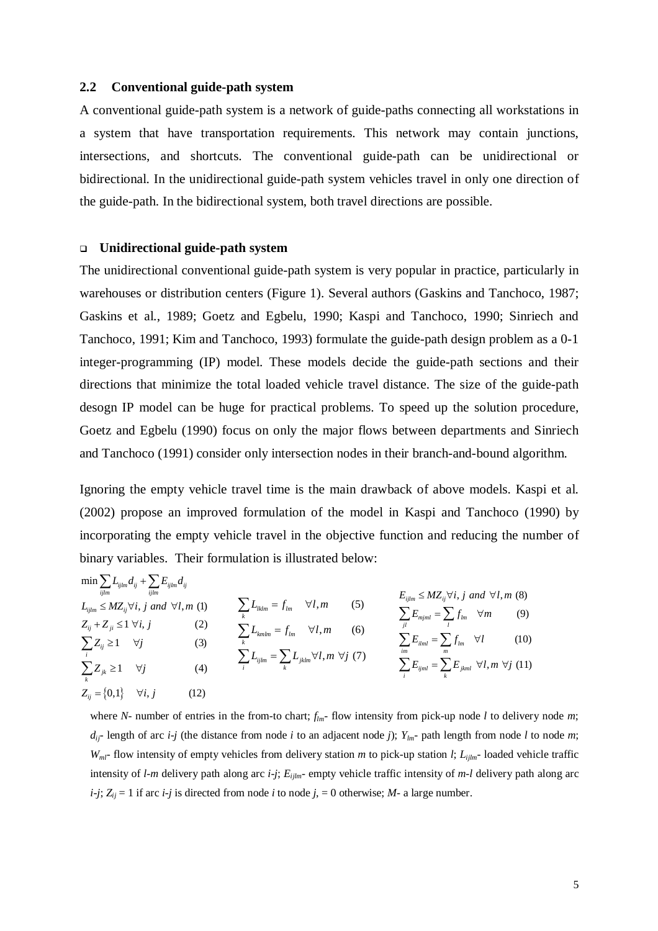#### **2.2 Conventional guide-path system**

A conventional guide-path system is a network of guide-paths connecting all workstations in a system that have transportation requirements. This network may contain junctions, intersections, and shortcuts. The conventional guide-path can be unidirectional or bidirectional. In the unidirectional guide-path system vehicles travel in only one direction of the guide-path. In the bidirectional system, both travel directions are possible.

#### **Unidirectional guide-path system**

The unidirectional conventional guide-path system is very popular in practice, particularly in warehouses or distribution centers (Figure 1). Several authors (Gaskins and Tanchoco, 1987; Gaskins et al., 1989; Goetz and Egbelu, 1990; Kaspi and Tanchoco, 1990; Sinriech and Tanchoco, 1991; Kim and Tanchoco, 1993) formulate the guide-path design problem as a 0-1 integer-programming (IP) model. These models decide the guide-path sections and their directions that minimize the total loaded vehicle travel distance. The size of the guide-path desogn IP model can be huge for practical problems. To speed up the solution procedure, Goetz and Egbelu (1990) focus on only the major flows between departments and Sinriech and Tanchoco (1991) consider only intersection nodes in their branch-and-bound algorithm.

Ignoring the empty vehicle travel time is the main drawback of above models. Kaspi et al. (2002) propose an improved formulation of the model in Kaspi and Tanchoco (1990) by incorporating the empty vehicle travel in the objective function and reducing the number of binary variables. Their formulation is illustrated below:

$$
\min \sum_{ijlm} L_{ijlm} d_{ij} + \sum_{ijlm} E_{ijlm} d_{ij}
$$
\n
$$
L_{ijlm} \le M Z_{ij} \forall i, j \text{ and } \forall l, m \text{ (1)}
$$
\n
$$
Z_{ij} + Z_{ji} \le 1 \forall i, j \qquad (2)
$$
\n
$$
\sum_{i} L_{ijlm} = f_{lm} \qquad (3)
$$
\n
$$
\sum_{k} L_{klmn} = f_{lm} \qquad (4)
$$
\n
$$
\sum_{i} L_{ijlm} = f_{lm} \qquad (5)
$$
\n
$$
\sum_{jl} E_{ijml} = \sum_{l} f_{jm} \qquad (9)
$$
\n
$$
\sum_{i} Z_{ij} \ge 1 \qquad \forall j \qquad (1)
$$
\n
$$
\sum_{k} L_{ijlm} = f_{lm} \qquad (10)
$$
\n
$$
\sum_{i} L_{ijlm} = \sum_{k} L_{jklm} \qquad (11)
$$
\n
$$
\sum_{i} L_{ijlm} = \sum_{k} L_{jklm} \qquad (12)
$$
\n
$$
Z_{ij} = \{0,1\} \qquad \forall i, j \qquad (12)
$$

where *N*- number of entries in the from-to chart;  $f_{lm}$ - flow intensity from pick-up node *l* to delivery node *m*;  $d_{ij}$ - length of arc *i-j* (the distance from node *i* to an adjacent node *j*);  $Y_{lm}$ - path length from node *l* to node *m*; *Wml-* flow intensity of empty vehicles from delivery station *m* to pick-up station *l*; *Lijlm-* loaded vehicle traffic intensity of *l-m* delivery path along arc *i-j*; *Eijlm-* empty vehicle traffic intensity of *m-l* delivery path along arc  $i-j$ ;  $Z_{ij} = 1$  if arc  $i-j$  is directed from node *i* to node  $j = 0$  otherwise; *M*- a large number.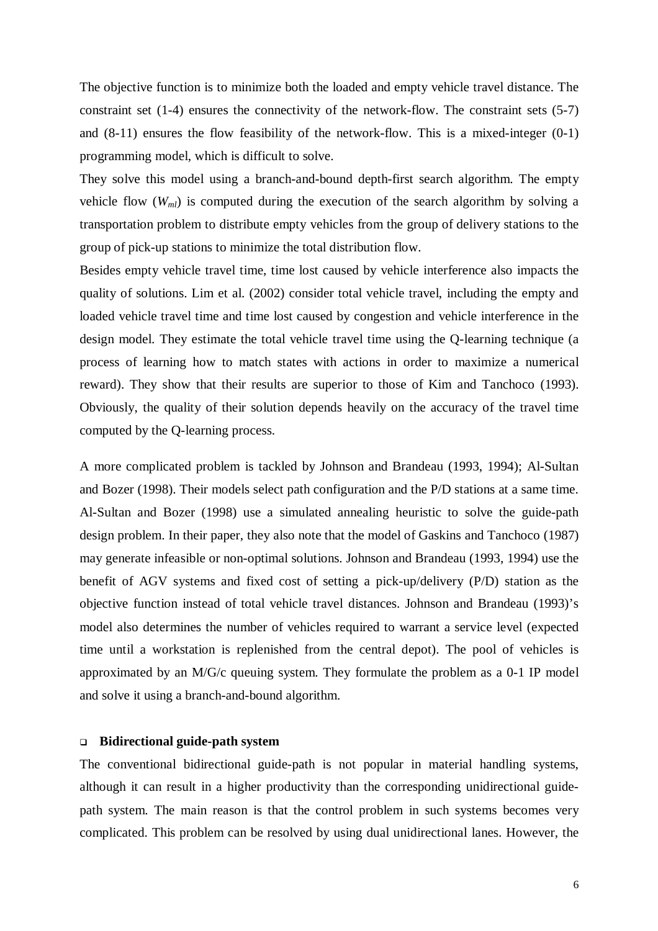The objective function is to minimize both the loaded and empty vehicle travel distance. The constraint set (1-4) ensures the connectivity of the network-flow. The constraint sets (5-7) and (8-11) ensures the flow feasibility of the network-flow. This is a mixed-integer (0-1) programming model, which is difficult to solve.

They solve this model using a branch-and-bound depth-first search algorithm. The empty vehicle flow  $(W_{ml})$  is computed during the execution of the search algorithm by solving a transportation problem to distribute empty vehicles from the group of delivery stations to the group of pick-up stations to minimize the total distribution flow.

Besides empty vehicle travel time, time lost caused by vehicle interference also impacts the quality of solutions. Lim et al. (2002) consider total vehicle travel, including the empty and loaded vehicle travel time and time lost caused by congestion and vehicle interference in the design model. They estimate the total vehicle travel time using the Q-learning technique (a process of learning how to match states with actions in order to maximize a numerical reward). They show that their results are superior to those of Kim and Tanchoco (1993). Obviously, the quality of their solution depends heavily on the accuracy of the travel time computed by the Q-learning process.

A more complicated problem is tackled by Johnson and Brandeau (1993, 1994); Al-Sultan and Bozer (1998). Their models select path configuration and the P/D stations at a same time. Al-Sultan and Bozer (1998) use a simulated annealing heuristic to solve the guide-path design problem. In their paper, they also note that the model of Gaskins and Tanchoco (1987) may generate infeasible or non-optimal solutions. Johnson and Brandeau (1993, 1994) use the benefit of AGV systems and fixed cost of setting a pick-up/delivery (P/D) station as the objective function instead of total vehicle travel distances. Johnson and Brandeau (1993)'s model also determines the number of vehicles required to warrant a service level (expected time until a workstation is replenished from the central depot). The pool of vehicles is approximated by an M/G/c queuing system. They formulate the problem as a 0-1 IP model and solve it using a branch-and-bound algorithm.

#### **Bidirectional guide-path system**

The conventional bidirectional guide-path is not popular in material handling systems, although it can result in a higher productivity than the corresponding unidirectional guidepath system. The main reason is that the control problem in such systems becomes very complicated. This problem can be resolved by using dual unidirectional lanes. However, the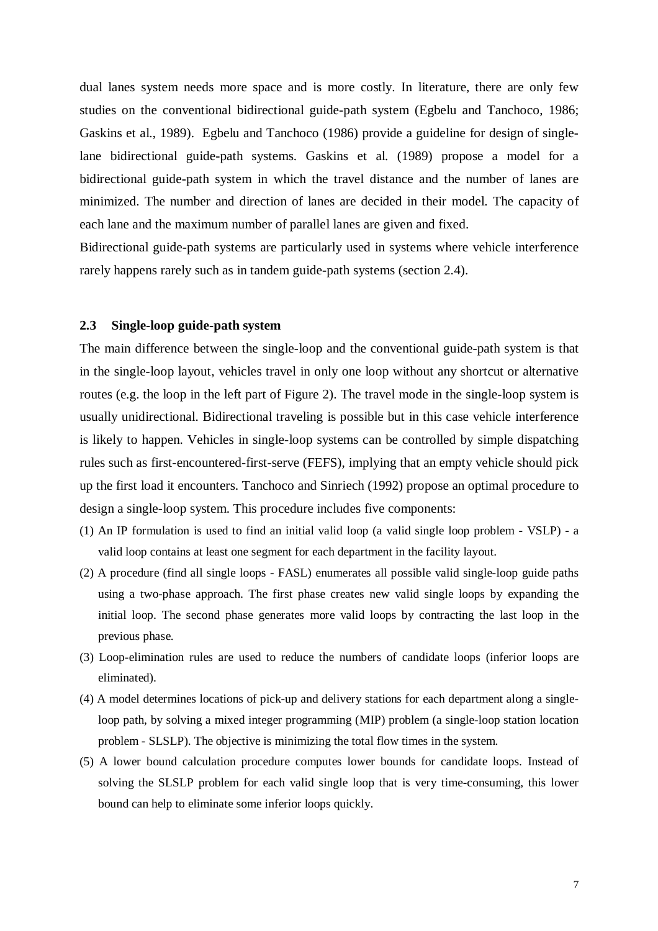dual lanes system needs more space and is more costly. In literature, there are only few studies on the conventional bidirectional guide-path system (Egbelu and Tanchoco, 1986; Gaskins et al., 1989). Egbelu and Tanchoco (1986) provide a guideline for design of singlelane bidirectional guide-path systems. Gaskins et al. (1989) propose a model for a bidirectional guide-path system in which the travel distance and the number of lanes are minimized. The number and direction of lanes are decided in their model. The capacity of each lane and the maximum number of parallel lanes are given and fixed.

Bidirectional guide-path systems are particularly used in systems where vehicle interference rarely happens rarely such as in tandem guide-path systems (section 2.4).

#### **2.3 Single-loop guide-path system**

The main difference between the single-loop and the conventional guide-path system is that in the single-loop layout, vehicles travel in only one loop without any shortcut or alternative routes (e.g. the loop in the left part of Figure 2). The travel mode in the single-loop system is usually unidirectional. Bidirectional traveling is possible but in this case vehicle interference is likely to happen. Vehicles in single-loop systems can be controlled by simple dispatching rules such as first-encountered-first-serve (FEFS), implying that an empty vehicle should pick up the first load it encounters. Tanchoco and Sinriech (1992) propose an optimal procedure to design a single-loop system. This procedure includes five components:

- (1) An IP formulation is used to find an initial valid loop (a valid single loop problem VSLP) a valid loop contains at least one segment for each department in the facility layout.
- (2) A procedure (find all single loops FASL) enumerates all possible valid single-loop guide paths using a two-phase approach. The first phase creates new valid single loops by expanding the initial loop. The second phase generates more valid loops by contracting the last loop in the previous phase.
- (3) Loop-elimination rules are used to reduce the numbers of candidate loops (inferior loops are eliminated).
- (4) A model determines locations of pick-up and delivery stations for each department along a singleloop path, by solving a mixed integer programming (MIP) problem (a single-loop station location problem - SLSLP). The objective is minimizing the total flow times in the system.
- (5) A lower bound calculation procedure computes lower bounds for candidate loops. Instead of solving the SLSLP problem for each valid single loop that is very time-consuming, this lower bound can help to eliminate some inferior loops quickly.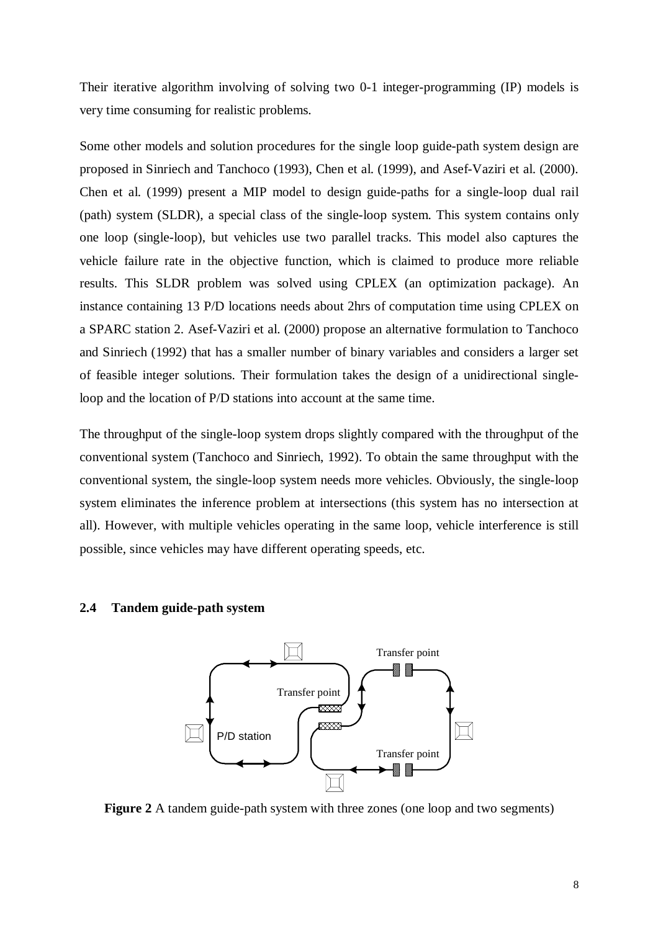Their iterative algorithm involving of solving two 0-1 integer-programming (IP) models is very time consuming for realistic problems.

Some other models and solution procedures for the single loop guide-path system design are proposed in Sinriech and Tanchoco (1993), Chen et al. (1999), and Asef-Vaziri et al. (2000). Chen et al. (1999) present a MIP model to design guide-paths for a single-loop dual rail (path) system (SLDR), a special class of the single-loop system. This system contains only one loop (single-loop), but vehicles use two parallel tracks. This model also captures the vehicle failure rate in the objective function, which is claimed to produce more reliable results. This SLDR problem was solved using CPLEX (an optimization package). An instance containing 13 P/D locations needs about 2hrs of computation time using CPLEX on a SPARC station 2. Asef-Vaziri et al. (2000) propose an alternative formulation to Tanchoco and Sinriech (1992) that has a smaller number of binary variables and considers a larger set of feasible integer solutions. Their formulation takes the design of a unidirectional singleloop and the location of P/D stations into account at the same time.

The throughput of the single-loop system drops slightly compared with the throughput of the conventional system (Tanchoco and Sinriech, 1992). To obtain the same throughput with the conventional system, the single-loop system needs more vehicles. Obviously, the single-loop system eliminates the inference problem at intersections (this system has no intersection at all). However, with multiple vehicles operating in the same loop, vehicle interference is still possible, since vehicles may have different operating speeds, etc.

#### **2.4 Tandem guide-path system**



**Figure 2** A tandem guide-path system with three zones (one loop and two segments)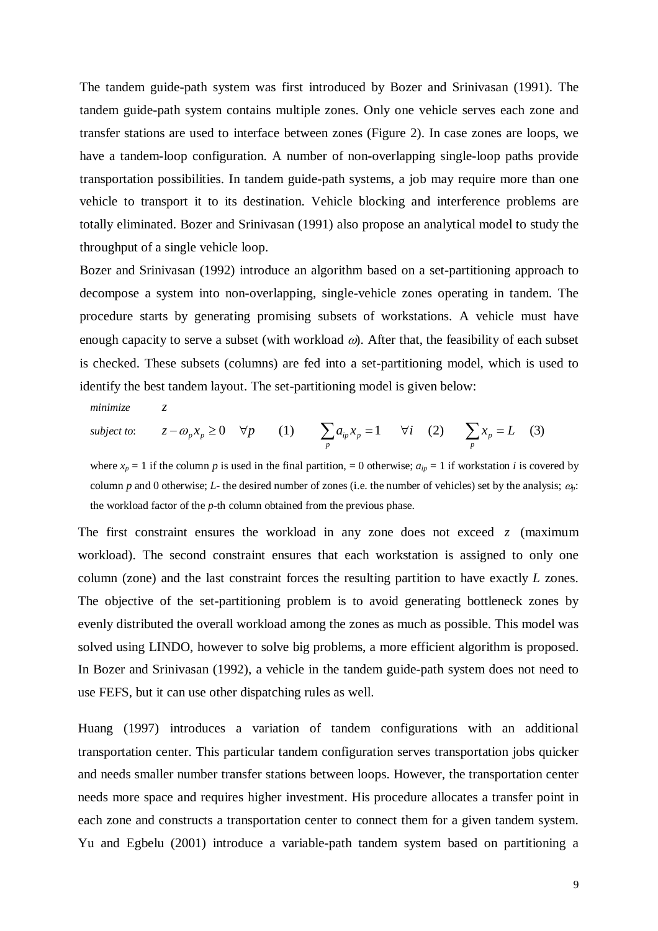The tandem guide-path system was first introduced by Bozer and Srinivasan (1991). The tandem guide-path system contains multiple zones. Only one vehicle serves each zone and transfer stations are used to interface between zones (Figure 2). In case zones are loops, we have a tandem-loop configuration. A number of non-overlapping single-loop paths provide transportation possibilities. In tandem guide-path systems, a job may require more than one vehicle to transport it to its destination. Vehicle blocking and interference problems are totally eliminated. Bozer and Srinivasan (1991) also propose an analytical model to study the throughput of a single vehicle loop.

Bozer and Srinivasan (1992) introduce an algorithm based on a set-partitioning approach to decompose a system into non-overlapping, single-vehicle zones operating in tandem. The procedure starts by generating promising subsets of workstations. A vehicle must have enough capacity to serve a subset (with workload  $\omega$ ). After that, the feasibility of each subset is checked. These subsets (columns) are fed into a set-partitioning model, which is used to identify the best tandem layout. The set-partitioning model is given below:

*minimize z*

subject to: 
$$
z - \omega_p x_p \ge 0 \quad \forall p
$$
 (1)  $\sum_p a_{ip} x_p = 1 \quad \forall i$  (2)  $\sum_p x_p = L$  (3)

where  $x_p = 1$  if the column *p* is used in the final partition, = 0 otherwise;  $a_{ip} = 1$  if workstation *i* is covered by column *p* and 0 otherwise; *L*- the desired number of zones (i.e. the number of vehicles) set by the analysis;  $\omega_p$ : the workload factor of the *p*-th column obtained from the previous phase.

The first constraint ensures the workload in any zone does not exceed *z* (maximum workload). The second constraint ensures that each workstation is assigned to only one column (zone) and the last constraint forces the resulting partition to have exactly *L* zones. The objective of the set-partitioning problem is to avoid generating bottleneck zones by evenly distributed the overall workload among the zones as much as possible. This model was solved using LINDO, however to solve big problems, a more efficient algorithm is proposed. In Bozer and Srinivasan (1992), a vehicle in the tandem guide-path system does not need to use FEFS, but it can use other dispatching rules as well.

Huang (1997) introduces a variation of tandem configurations with an additional transportation center. This particular tandem configuration serves transportation jobs quicker and needs smaller number transfer stations between loops. However, the transportation center needs more space and requires higher investment. His procedure allocates a transfer point in each zone and constructs a transportation center to connect them for a given tandem system. Yu and Egbelu (2001) introduce a variable-path tandem system based on partitioning a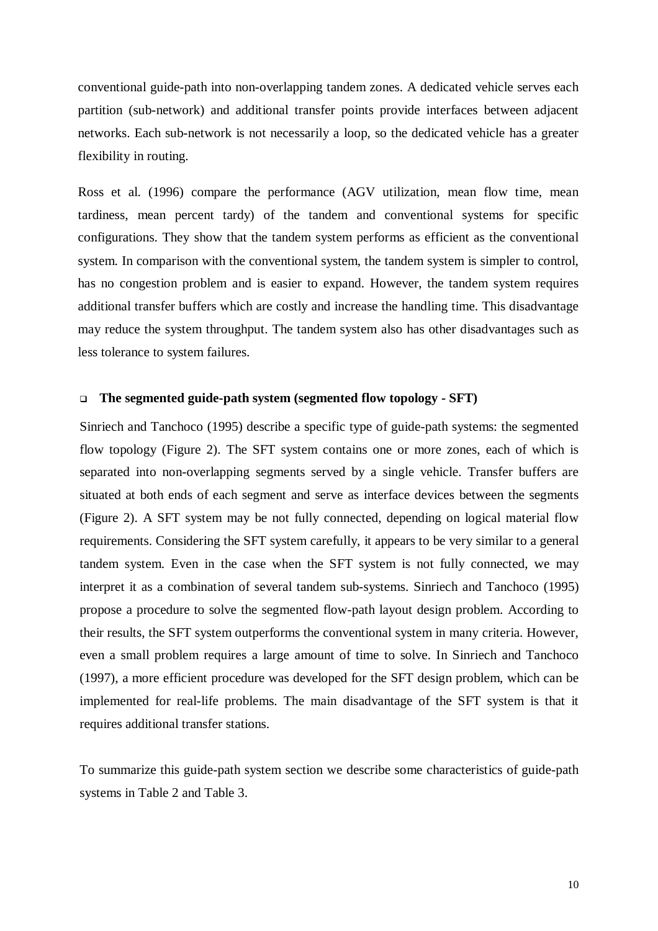conventional guide-path into non-overlapping tandem zones. A dedicated vehicle serves each partition (sub-network) and additional transfer points provide interfaces between adjacent networks. Each sub-network is not necessarily a loop, so the dedicated vehicle has a greater flexibility in routing.

Ross et al. (1996) compare the performance (AGV utilization, mean flow time, mean tardiness, mean percent tardy) of the tandem and conventional systems for specific configurations. They show that the tandem system performs as efficient as the conventional system. In comparison with the conventional system, the tandem system is simpler to control, has no congestion problem and is easier to expand. However, the tandem system requires additional transfer buffers which are costly and increase the handling time. This disadvantage may reduce the system throughput. The tandem system also has other disadvantages such as less tolerance to system failures.

#### **The segmented guide-path system (segmented flow topology - SFT)**

Sinriech and Tanchoco (1995) describe a specific type of guide-path systems: the segmented flow topology (Figure 2). The SFT system contains one or more zones, each of which is separated into non-overlapping segments served by a single vehicle. Transfer buffers are situated at both ends of each segment and serve as interface devices between the segments (Figure 2). A SFT system may be not fully connected, depending on logical material flow requirements. Considering the SFT system carefully, it appears to be very similar to a general tandem system. Even in the case when the SFT system is not fully connected, we may interpret it as a combination of several tandem sub-systems. Sinriech and Tanchoco (1995) propose a procedure to solve the segmented flow-path layout design problem. According to their results, the SFT system outperforms the conventional system in many criteria. However, even a small problem requires a large amount of time to solve. In Sinriech and Tanchoco (1997), a more efficient procedure was developed for the SFT design problem, which can be implemented for real-life problems. The main disadvantage of the SFT system is that it requires additional transfer stations.

To summarize this guide-path system section we describe some characteristics of guide-path systems in Table 2 and Table 3.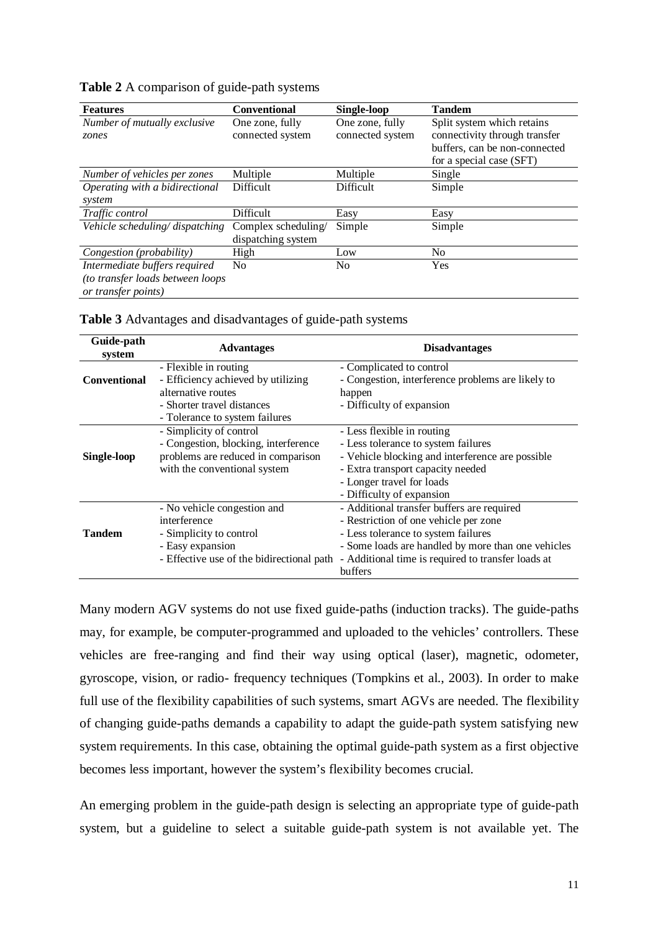| <b>Features</b>                                                                          | <b>Conventional</b>                       | Single-loop                         | <b>Tandem</b>                                                                                                            |
|------------------------------------------------------------------------------------------|-------------------------------------------|-------------------------------------|--------------------------------------------------------------------------------------------------------------------------|
| Number of mutually exclusive<br>zones                                                    | One zone, fully<br>connected system       | One zone, fully<br>connected system | Split system which retains<br>connectivity through transfer<br>buffers, can be non-connected<br>for a special case (SFT) |
| Number of vehicles per zones                                                             | Multiple                                  | Multiple                            | Single                                                                                                                   |
| Operating with a bidirectional                                                           | <b>Difficult</b>                          | Difficult                           | Simple                                                                                                                   |
| system                                                                                   |                                           |                                     |                                                                                                                          |
| Traffic control                                                                          | Difficult                                 | Easy                                | Easy                                                                                                                     |
| Vehicle scheduling/dispatching                                                           | Complex scheduling/<br>dispatching system | Simple                              | Simple                                                                                                                   |
| Congestion (probability)                                                                 | High                                      | Low                                 | No                                                                                                                       |
| Intermediate buffers required<br>(to transfer loads between loops<br>or transfer points) | N <sub>0</sub>                            | N <sub>0</sub>                      | Yes                                                                                                                      |

**Table 2** A comparison of guide-path systems

|  | Table 3 Advantages and disadvantages of guide-path systems |  |
|--|------------------------------------------------------------|--|
|  |                                                            |  |

| Guide-path<br>system | <b>Advantages</b>                         | <b>Disadvantages</b>                               |  |  |  |
|----------------------|-------------------------------------------|----------------------------------------------------|--|--|--|
|                      | - Flexible in routing                     | - Complicated to control                           |  |  |  |
| <b>Conventional</b>  | - Efficiency achieved by utilizing        | - Congestion, interference problems are likely to  |  |  |  |
|                      | alternative routes                        | happen                                             |  |  |  |
|                      | - Shorter travel distances                | - Difficulty of expansion                          |  |  |  |
|                      | - Tolerance to system failures            |                                                    |  |  |  |
|                      | - Simplicity of control                   | - Less flexible in routing                         |  |  |  |
|                      | - Congestion, blocking, interference      | - Less tolerance to system failures                |  |  |  |
| <b>Single-loop</b>   | problems are reduced in comparison        | - Vehicle blocking and interference are possible   |  |  |  |
|                      | with the conventional system              | - Extra transport capacity needed                  |  |  |  |
|                      |                                           | - Longer travel for loads                          |  |  |  |
|                      |                                           | - Difficulty of expansion                          |  |  |  |
|                      | - No vehicle congestion and               | - Additional transfer buffers are required         |  |  |  |
|                      | interference                              | - Restriction of one vehicle per zone              |  |  |  |
| <b>Tandem</b>        | - Simplicity to control                   | - Less tolerance to system failures                |  |  |  |
|                      | - Easy expansion                          | - Some loads are handled by more than one vehicles |  |  |  |
|                      | - Effective use of the bidirectional path | - Additional time is required to transfer loads at |  |  |  |
|                      |                                           | buffers                                            |  |  |  |

Many modern AGV systems do not use fixed guide-paths (induction tracks). The guide-paths may, for example, be computer-programmed and uploaded to the vehicles' controllers. These vehicles are free-ranging and find their way using optical (laser), magnetic, odometer, gyroscope, vision, or radio- frequency techniques (Tompkins et al., 2003). In order to make full use of the flexibility capabilities of such systems, smart AGVs are needed. The flexibility of changing guide-paths demands a capability to adapt the guide-path system satisfying new system requirements. In this case, obtaining the optimal guide-path system as a first objective becomes less important, however the system's flexibility becomes crucial.

An emerging problem in the guide-path design is selecting an appropriate type of guide-path system, but a guideline to select a suitable guide-path system is not available yet. The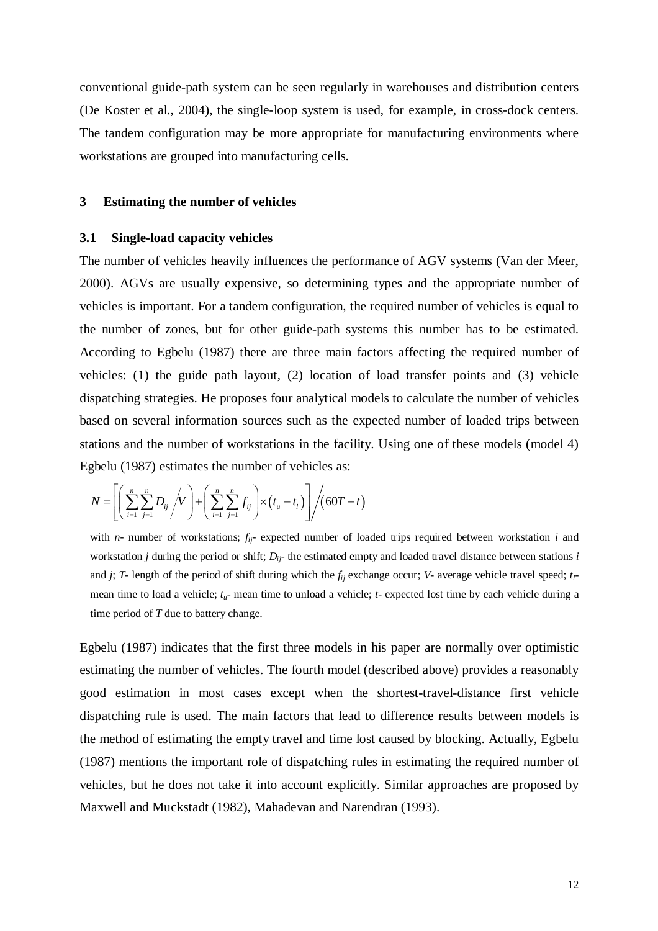conventional guide-path system can be seen regularly in warehouses and distribution centers (De Koster et al., 2004), the single-loop system is used, for example, in cross-dock centers. The tandem configuration may be more appropriate for manufacturing environments where workstations are grouped into manufacturing cells.

#### **3 Estimating the number of vehicles**

#### **3.1 Single-load capacity vehicles**

The number of vehicles heavily influences the performance of AGV systems (Van der Meer, 2000). AGVs are usually expensive, so determining types and the appropriate number of vehicles is important. For a tandem configuration, the required number of vehicles is equal to the number of zones, but for other guide-path systems this number has to be estimated. According to Egbelu (1987) there are three main factors affecting the required number of vehicles: (1) the guide path layout, (2) location of load transfer points and (3) vehicle dispatching strategies. He proposes four analytical models to calculate the number of vehicles based on several information sources such as the expected number of loaded trips between stations and the number of workstations in the facility. Using one of these models (model 4) Egbelu (1987) estimates the number of vehicles as:

$$
N = \left[ \left( \sum_{i=1}^{n} \sum_{j=1}^{n} D_{ij} / V \right) + \left( \sum_{i=1}^{n} \sum_{j=1}^{n} f_{ij} \right) \times \left( t_u + t_l \right) \right] / \left( 60T - t \right)
$$

with *n*- number of workstations;  $f_{ij}$ - expected number of loaded trips required between workstation *i* and workstation *j* during the period or shift;  $D_i$ <sup>-</sup> the estimated empty and loaded travel distance between stations *i* and *j*; *T*- length of the period of shift during which the  $f_{ij}$  exchange occur; *V*- average vehicle travel speed;  $t_i$ mean time to load a vehicle; *tu*- mean time to unload a vehicle; *t*- expected lost time by each vehicle during a time period of *T* due to battery change.

Egbelu (1987) indicates that the first three models in his paper are normally over optimistic estimating the number of vehicles. The fourth model (described above) provides a reasonably good estimation in most cases except when the shortest-travel-distance first vehicle dispatching rule is used. The main factors that lead to difference results between models is the method of estimating the empty travel and time lost caused by blocking. Actually, Egbelu (1987) mentions the important role of dispatching rules in estimating the required number of vehicles, but he does not take it into account explicitly. Similar approaches are proposed by Maxwell and Muckstadt (1982), Mahadevan and Narendran (1993).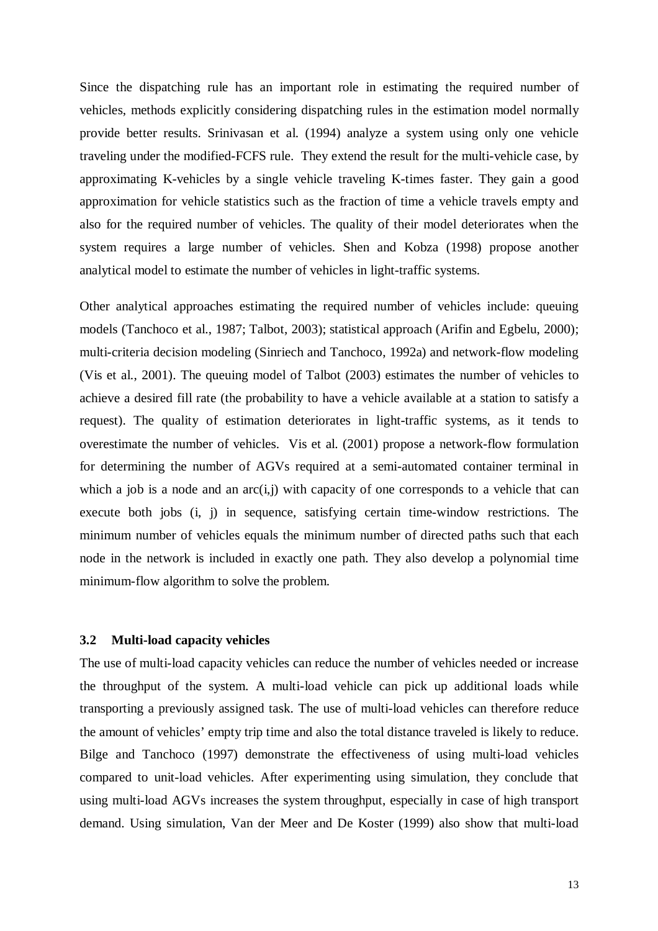Since the dispatching rule has an important role in estimating the required number of vehicles, methods explicitly considering dispatching rules in the estimation model normally provide better results. Srinivasan et al. (1994) analyze a system using only one vehicle traveling under the modified-FCFS rule. They extend the result for the multi-vehicle case, by approximating K-vehicles by a single vehicle traveling K-times faster. They gain a good approximation for vehicle statistics such as the fraction of time a vehicle travels empty and also for the required number of vehicles. The quality of their model deteriorates when the system requires a large number of vehicles. Shen and Kobza (1998) propose another analytical model to estimate the number of vehicles in light-traffic systems.

Other analytical approaches estimating the required number of vehicles include: queuing models (Tanchoco et al., 1987; Talbot, 2003); statistical approach (Arifin and Egbelu, 2000); multi-criteria decision modeling (Sinriech and Tanchoco, 1992a) and network-flow modeling (Vis et al., 2001). The queuing model of Talbot (2003) estimates the number of vehicles to achieve a desired fill rate (the probability to have a vehicle available at a station to satisfy a request). The quality of estimation deteriorates in light-traffic systems, as it tends to overestimate the number of vehicles. Vis et al. (2001) propose a network-flow formulation for determining the number of AGVs required at a semi-automated container terminal in which a job is a node and an  $arc(i,j)$  with capacity of one corresponds to a vehicle that can execute both jobs (i, j) in sequence, satisfying certain time-window restrictions. The minimum number of vehicles equals the minimum number of directed paths such that each node in the network is included in exactly one path. They also develop a polynomial time minimum-flow algorithm to solve the problem.

#### **3.2 Multi-load capacity vehicles**

The use of multi-load capacity vehicles can reduce the number of vehicles needed or increase the throughput of the system. A multi-load vehicle can pick up additional loads while transporting a previously assigned task. The use of multi-load vehicles can therefore reduce the amount of vehicles' empty trip time and also the total distance traveled is likely to reduce. Bilge and Tanchoco (1997) demonstrate the effectiveness of using multi-load vehicles compared to unit-load vehicles. After experimenting using simulation, they conclude that using multi-load AGVs increases the system throughput, especially in case of high transport demand. Using simulation, Van der Meer and De Koster (1999) also show that multi-load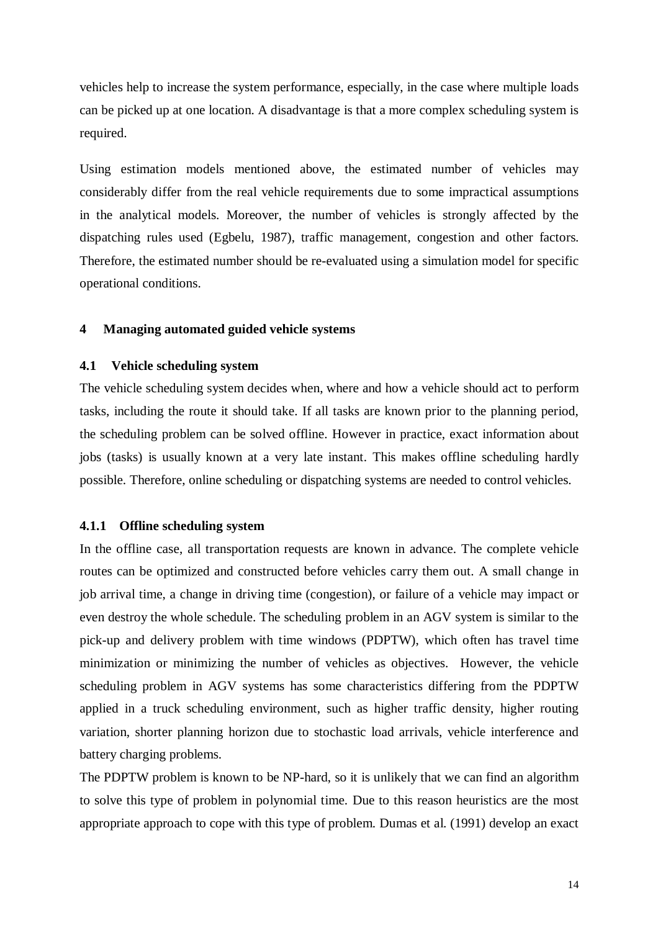vehicles help to increase the system performance, especially, in the case where multiple loads can be picked up at one location. A disadvantage is that a more complex scheduling system is required.

Using estimation models mentioned above, the estimated number of vehicles may considerably differ from the real vehicle requirements due to some impractical assumptions in the analytical models. Moreover, the number of vehicles is strongly affected by the dispatching rules used (Egbelu, 1987), traffic management, congestion and other factors. Therefore, the estimated number should be re-evaluated using a simulation model for specific operational conditions.

#### **4 Managing automated guided vehicle systems**

#### **4.1 Vehicle scheduling system**

The vehicle scheduling system decides when, where and how a vehicle should act to perform tasks, including the route it should take. If all tasks are known prior to the planning period, the scheduling problem can be solved offline. However in practice, exact information about jobs (tasks) is usually known at a very late instant. This makes offline scheduling hardly possible. Therefore, online scheduling or dispatching systems are needed to control vehicles.

#### **4.1.1 Offline scheduling system**

In the offline case, all transportation requests are known in advance. The complete vehicle routes can be optimized and constructed before vehicles carry them out. A small change in job arrival time, a change in driving time (congestion), or failure of a vehicle may impact or even destroy the whole schedule. The scheduling problem in an AGV system is similar to the pick-up and delivery problem with time windows (PDPTW), which often has travel time minimization or minimizing the number of vehicles as objectives. However, the vehicle scheduling problem in AGV systems has some characteristics differing from the PDPTW applied in a truck scheduling environment, such as higher traffic density, higher routing variation, shorter planning horizon due to stochastic load arrivals, vehicle interference and battery charging problems.

The PDPTW problem is known to be NP-hard, so it is unlikely that we can find an algorithm to solve this type of problem in polynomial time. Due to this reason heuristics are the most appropriate approach to cope with this type of problem. Dumas et al. (1991) develop an exact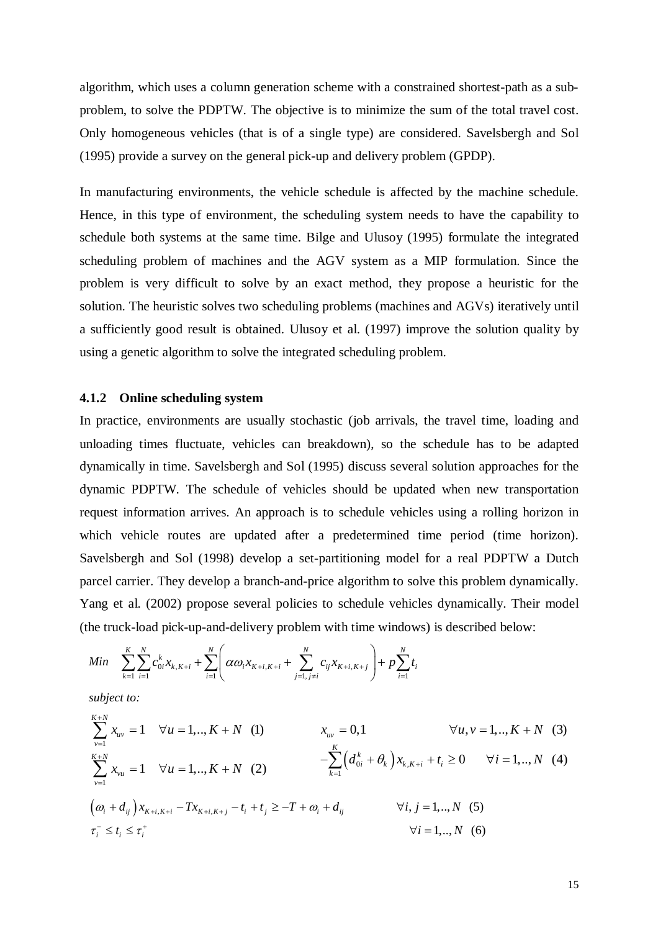algorithm, which uses a column generation scheme with a constrained shortest-path as a subproblem, to solve the PDPTW. The objective is to minimize the sum of the total travel cost. Only homogeneous vehicles (that is of a single type) are considered. Savelsbergh and Sol (1995) provide a survey on the general pick-up and delivery problem (GPDP).

In manufacturing environments, the vehicle schedule is affected by the machine schedule. Hence, in this type of environment, the scheduling system needs to have the capability to schedule both systems at the same time. Bilge and Ulusoy (1995) formulate the integrated scheduling problem of machines and the AGV system as a MIP formulation. Since the problem is very difficult to solve by an exact method, they propose a heuristic for the solution. The heuristic solves two scheduling problems (machines and AGVs) iteratively until a sufficiently good result is obtained. Ulusoy et al. (1997) improve the solution quality by using a genetic algorithm to solve the integrated scheduling problem.

#### **4.1.2 Online scheduling system**

In practice, environments are usually stochastic (job arrivals, the travel time, loading and unloading times fluctuate, vehicles can breakdown), so the schedule has to be adapted dynamically in time. Savelsbergh and Sol (1995) discuss several solution approaches for the dynamic PDPTW. The schedule of vehicles should be updated when new transportation request information arrives. An approach is to schedule vehicles using a rolling horizon in which vehicle routes are updated after a predetermined time period (time horizon). Savelsbergh and Sol (1998) develop a set-partitioning model for a real PDPTW a Dutch parcel carrier. They develop a branch-and-price algorithm to solve this problem dynamically. Yang et al. (2002) propose several policies to schedule vehicles dynamically. Their model (the truck-load pick-up-and-delivery problem with time windows) is described below:

$$
Min \sum_{k=1}^{K} \sum_{i=1}^{N} c_{0i}^{k} x_{k,K+i} + \sum_{i=1}^{N} \left( \alpha \omega_{i} x_{K+i,K+i} + \sum_{j=1, j\neq i}^{N} c_{ij} x_{K+i,K+j} \right) + p \sum_{i=1}^{N} t_{i}
$$

*subject to:*

$$
\sum_{v=1}^{K+N} x_{uv} = 1 \quad \forall u = 1, ..., K+N \quad (1) \qquad x_{uv} = 0,1 \qquad \forall u, v = 1, ..., K+N \quad (3)
$$
\n
$$
\sum_{v=1}^{K+N} x_{vu} = 1 \quad \forall u = 1, ..., K+N \quad (2) \qquad -\sum_{k=1}^{K} \left( d_{0i}^k + \theta_k \right) x_{k,K+i} + t_i \ge 0 \qquad \forall i = 1, ..., N \quad (4)
$$
\n
$$
\left( \omega_i + d_{ij} \right) x_{K+i,K+i} - Tx_{K+i,K+j} - t_i + t_j \ge -T + \omega_i + d_{ij} \qquad \forall i, j = 1, ..., N \quad (5)
$$
\n
$$
\tau_i^- \le t_i \le \tau_i^+ \qquad \forall i = 1, ..., N \quad (6)
$$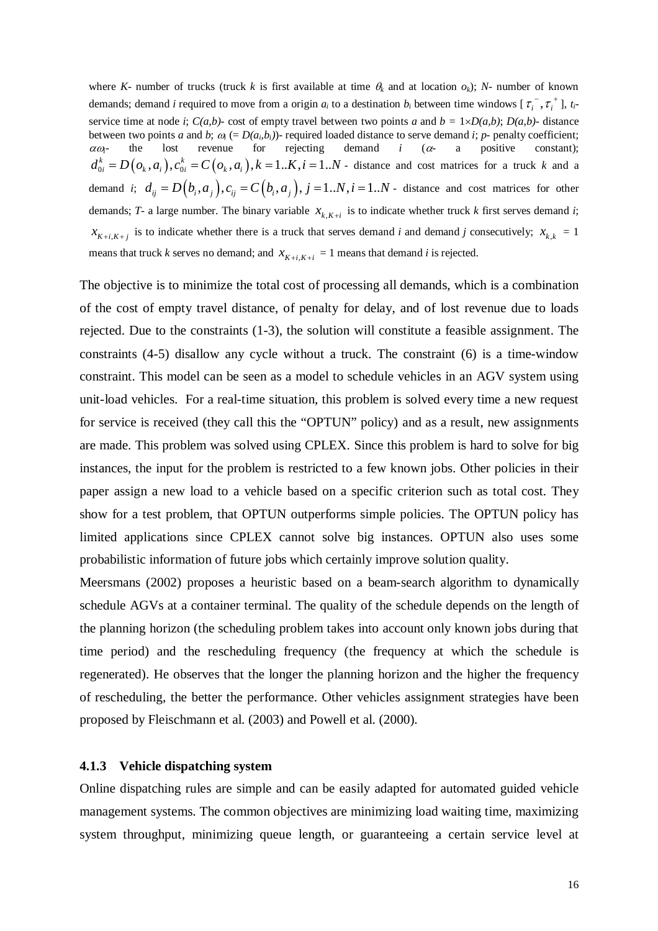where *K*- number of trucks (truck *k* is first available at time  $\theta_k$  and at location  $\phi_k$ ); *N*- number of known demands; demand *i* required to move from a origin  $a_i$  to a destination  $b_i$  between time windows  $[\tau_i^-, \tau_i^+]$ ,  $t_i$ service time at node *i*;  $C(a,b)$ - cost of empty travel between two points *a* and  $b = 1 \times D(a,b)$ ;  $D(a,b)$ - distance between two points *a* and *b*;  $\omega_i$  (=  $D(a_i, b_i)$ )- required loaded distance to serve demand *i*; *p*- penalty coefficient;  $\alpha \omega_i$ - the lost revenue for rejecting demand *i* ( $\alpha$ - a positive constant);  $d_{0i}^k = D(o_k, a_i), c_{0i}^k = C(o_k, a_i), k = 1..K, i = 1..N$  - distance and cost matrices for a truck k and a demand *i*;  $d_{ii} = D(b_i, a_i)$ ,  $c_{ii} = C(b_i, a_i)$ ,  $j = 1..N$ ,  $i = 1..N$  - distance and cost matrices for other demands; *T*- a large number. The binary variable  $x_{k,K+i}$  is to indicate whether truck *k* first serves demand *i*;  $x_{K+i,K+i}$  is to indicate whether there is a truck that serves demand *i* and demand *j* consecutively;  $x_{k,k} = 1$ means that truck *k* serves no demand; and  $x_{K+i,K+i} = 1$  means that demand *i* is rejected.

The objective is to minimize the total cost of processing all demands, which is a combination of the cost of empty travel distance, of penalty for delay, and of lost revenue due to loads rejected. Due to the constraints (1-3), the solution will constitute a feasible assignment. The constraints (4-5) disallow any cycle without a truck. The constraint (6) is a time-window constraint. This model can be seen as a model to schedule vehicles in an AGV system using unit-load vehicles. For a real-time situation, this problem is solved every time a new request for service is received (they call this the "OPTUN" policy) and as a result, new assignments are made. This problem was solved using CPLEX. Since this problem is hard to solve for big instances, the input for the problem is restricted to a few known jobs. Other policies in their paper assign a new load to a vehicle based on a specific criterion such as total cost. They show for a test problem, that OPTUN outperforms simple policies. The OPTUN policy has limited applications since CPLEX cannot solve big instances. OPTUN also uses some probabilistic information of future jobs which certainly improve solution quality.

Meersmans (2002) proposes a heuristic based on a beam-search algorithm to dynamically schedule AGVs at a container terminal. The quality of the schedule depends on the length of the planning horizon (the scheduling problem takes into account only known jobs during that time period) and the rescheduling frequency (the frequency at which the schedule is regenerated). He observes that the longer the planning horizon and the higher the frequency of rescheduling, the better the performance. Other vehicles assignment strategies have been proposed by Fleischmann et al. (2003) and Powell et al. (2000).

#### **4.1.3 Vehicle dispatching system**

Online dispatching rules are simple and can be easily adapted for automated guided vehicle management systems. The common objectives are minimizing load waiting time, maximizing system throughput, minimizing queue length, or guaranteeing a certain service level at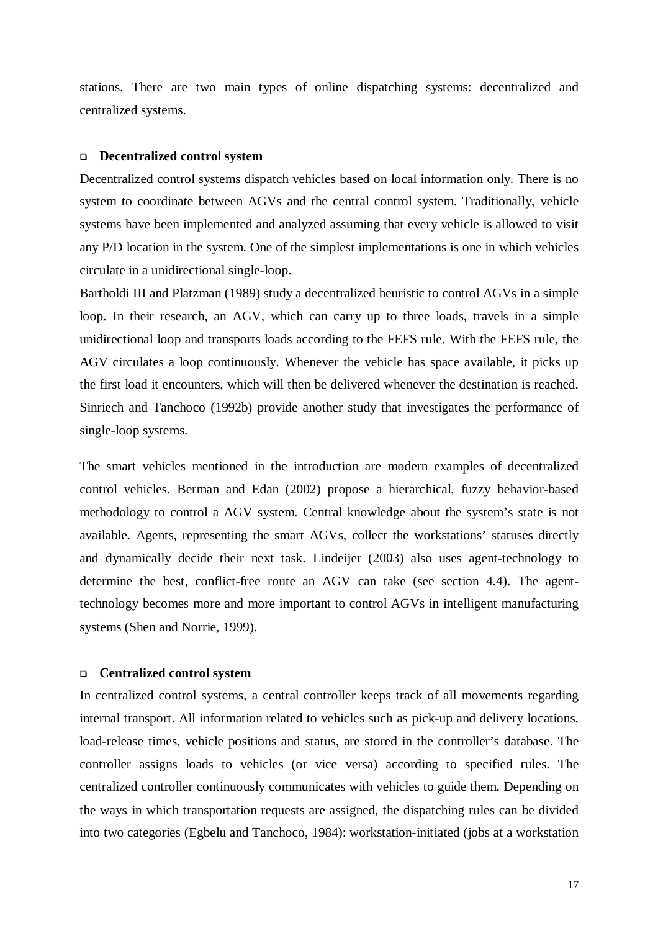stations. There are two main types of online dispatching systems: decentralized and centralized systems.

#### **Decentralized control system**

Decentralized control systems dispatch vehicles based on local information only. There is no system to coordinate between AGVs and the central control system. Traditionally, vehicle systems have been implemented and analyzed assuming that every vehicle is allowed to visit any P/D location in the system. One of the simplest implementations is one in which vehicles circulate in a unidirectional single-loop.

Bartholdi III and Platzman (1989) study a decentralized heuristic to control AGVs in a simple loop. In their research, an AGV, which can carry up to three loads, travels in a simple unidirectional loop and transports loads according to the FEFS rule. With the FEFS rule, the AGV circulates a loop continuously. Whenever the vehicle has space available, it picks up the first load it encounters, which will then be delivered whenever the destination is reached. Sinriech and Tanchoco (1992b) provide another study that investigates the performance of single-loop systems.

The smart vehicles mentioned in the introduction are modern examples of decentralized control vehicles. Berman and Edan (2002) propose a hierarchical, fuzzy behavior-based methodology to control a AGV system. Central knowledge about the system's state is not available. Agents, representing the smart AGVs, collect the workstations' statuses directly and dynamically decide their next task. Lindeijer (2003) also uses agent-technology to determine the best, conflict-free route an AGV can take (see section 4.4). The agenttechnology becomes more and more important to control AGVs in intelligent manufacturing systems (Shen and Norrie, 1999).

#### **Centralized control system**

In centralized control systems, a central controller keeps track of all movements regarding internal transport. All information related to vehicles such as pick-up and delivery locations, load-release times, vehicle positions and status, are stored in the controller's database. The controller assigns loads to vehicles (or vice versa) according to specified rules. The centralized controller continuously communicates with vehicles to guide them. Depending on the ways in which transportation requests are assigned, the dispatching rules can be divided into two categories (Egbelu and Tanchoco, 1984): workstation-initiated (jobs at a workstation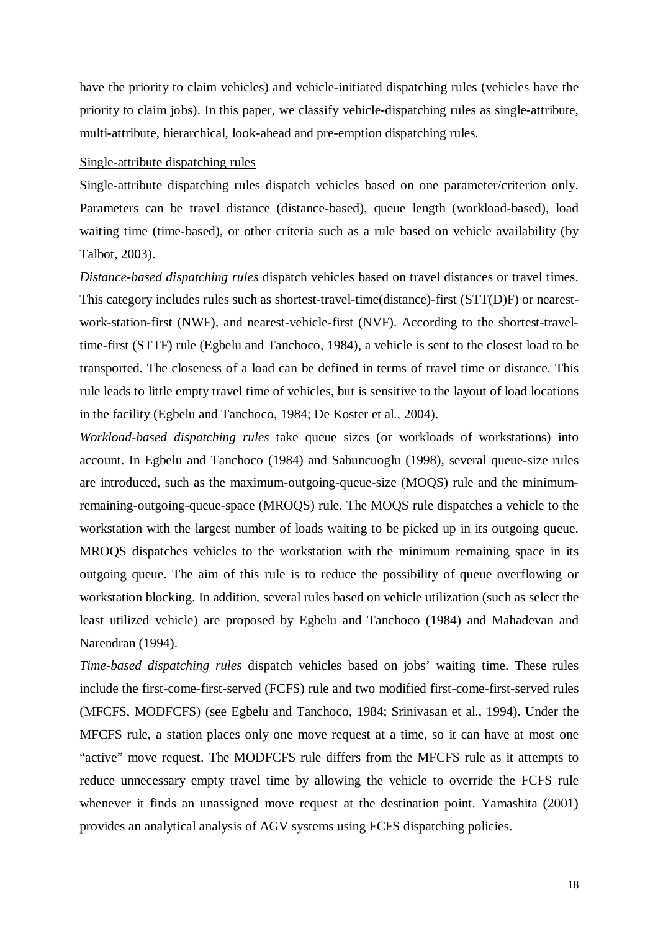have the priority to claim vehicles) and vehicle-initiated dispatching rules (vehicles have the priority to claim jobs). In this paper, we classify vehicle-dispatching rules as single-attribute, multi-attribute, hierarchical, look-ahead and pre-emption dispatching rules.

#### Single-attribute dispatching rules

Single-attribute dispatching rules dispatch vehicles based on one parameter/criterion only. Parameters can be travel distance (distance-based), queue length (workload-based), load waiting time (time-based), or other criteria such as a rule based on vehicle availability (by Talbot, 2003).

*Distance-based dispatching rules* dispatch vehicles based on travel distances or travel times. This category includes rules such as shortest-travel-time(distance)-first (STT(D)F) or nearestwork-station-first (NWF), and nearest-vehicle-first (NVF). According to the shortest-traveltime-first (STTF) rule (Egbelu and Tanchoco, 1984), a vehicle is sent to the closest load to be transported. The closeness of a load can be defined in terms of travel time or distance. This rule leads to little empty travel time of vehicles, but is sensitive to the layout of load locations in the facility (Egbelu and Tanchoco, 1984; De Koster et al., 2004).

*Workload-based dispatching rules* take queue sizes (or workloads of workstations) into account. In Egbelu and Tanchoco (1984) and Sabuncuoglu (1998), several queue-size rules are introduced, such as the maximum-outgoing-queue-size (MOQS) rule and the minimumremaining-outgoing-queue-space (MROQS) rule. The MOQS rule dispatches a vehicle to the workstation with the largest number of loads waiting to be picked up in its outgoing queue. MROQS dispatches vehicles to the workstation with the minimum remaining space in its outgoing queue. The aim of this rule is to reduce the possibility of queue overflowing or workstation blocking. In addition, several rules based on vehicle utilization (such as select the least utilized vehicle) are proposed by Egbelu and Tanchoco (1984) and Mahadevan and Narendran (1994).

*Time-based dispatching rules* dispatch vehicles based on jobs' waiting time. These rules include the first-come-first-served (FCFS) rule and two modified first-come-first-served rules (MFCFS, MODFCFS) (see Egbelu and Tanchoco, 1984; Srinivasan et al., 1994). Under the MFCFS rule, a station places only one move request at a time, so it can have at most one "active" move request. The MODFCFS rule differs from the MFCFS rule as it attempts to reduce unnecessary empty travel time by allowing the vehicle to override the FCFS rule whenever it finds an unassigned move request at the destination point. Yamashita (2001) provides an analytical analysis of AGV systems using FCFS dispatching policies.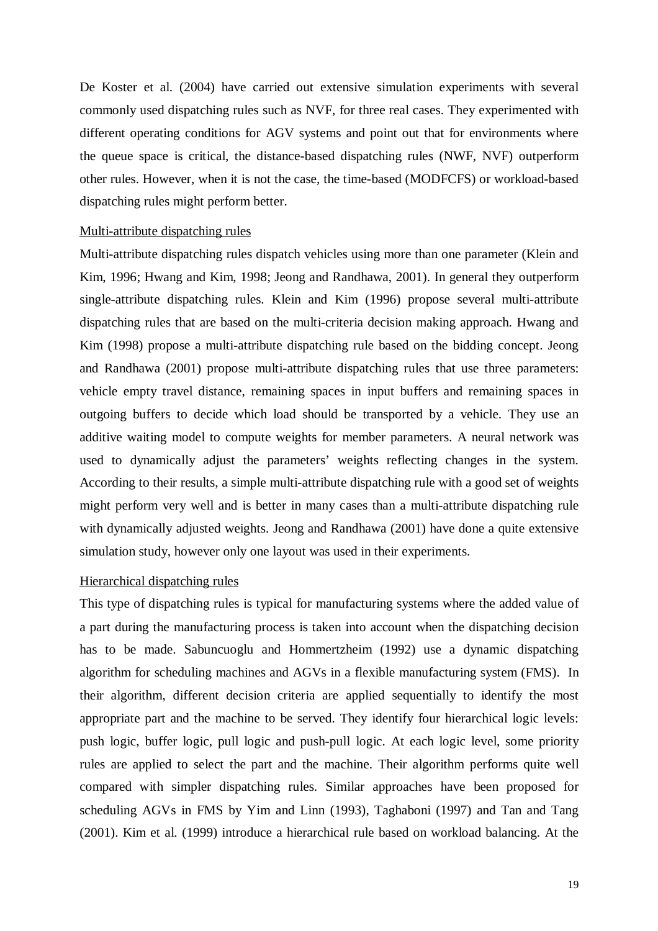De Koster et al. (2004) have carried out extensive simulation experiments with several commonly used dispatching rules such as NVF, for three real cases. They experimented with different operating conditions for AGV systems and point out that for environments where the queue space is critical, the distance-based dispatching rules (NWF, NVF) outperform other rules. However, when it is not the case, the time-based (MODFCFS) or workload-based dispatching rules might perform better.

#### Multi-attribute dispatching rules

Multi-attribute dispatching rules dispatch vehicles using more than one parameter (Klein and Kim, 1996; Hwang and Kim, 1998; Jeong and Randhawa, 2001). In general they outperform single-attribute dispatching rules. Klein and Kim (1996) propose several multi-attribute dispatching rules that are based on the multi-criteria decision making approach. Hwang and Kim (1998) propose a multi-attribute dispatching rule based on the bidding concept. Jeong and Randhawa (2001) propose multi-attribute dispatching rules that use three parameters: vehicle empty travel distance, remaining spaces in input buffers and remaining spaces in outgoing buffers to decide which load should be transported by a vehicle. They use an additive waiting model to compute weights for member parameters. A neural network was used to dynamically adjust the parameters' weights reflecting changes in the system. According to their results, a simple multi-attribute dispatching rule with a good set of weights might perform very well and is better in many cases than a multi-attribute dispatching rule with dynamically adjusted weights. Jeong and Randhawa (2001) have done a quite extensive simulation study, however only one layout was used in their experiments.

#### Hierarchical dispatching rules

This type of dispatching rules is typical for manufacturing systems where the added value of a part during the manufacturing process is taken into account when the dispatching decision has to be made. Sabuncuoglu and Hommertzheim (1992) use a dynamic dispatching algorithm for scheduling machines and AGVs in a flexible manufacturing system (FMS). In their algorithm, different decision criteria are applied sequentially to identify the most appropriate part and the machine to be served. They identify four hierarchical logic levels: push logic, buffer logic, pull logic and push-pull logic. At each logic level, some priority rules are applied to select the part and the machine. Their algorithm performs quite well compared with simpler dispatching rules. Similar approaches have been proposed for scheduling AGVs in FMS by Yim and Linn (1993), Taghaboni (1997) and Tan and Tang (2001). Kim et al. (1999) introduce a hierarchical rule based on workload balancing. At the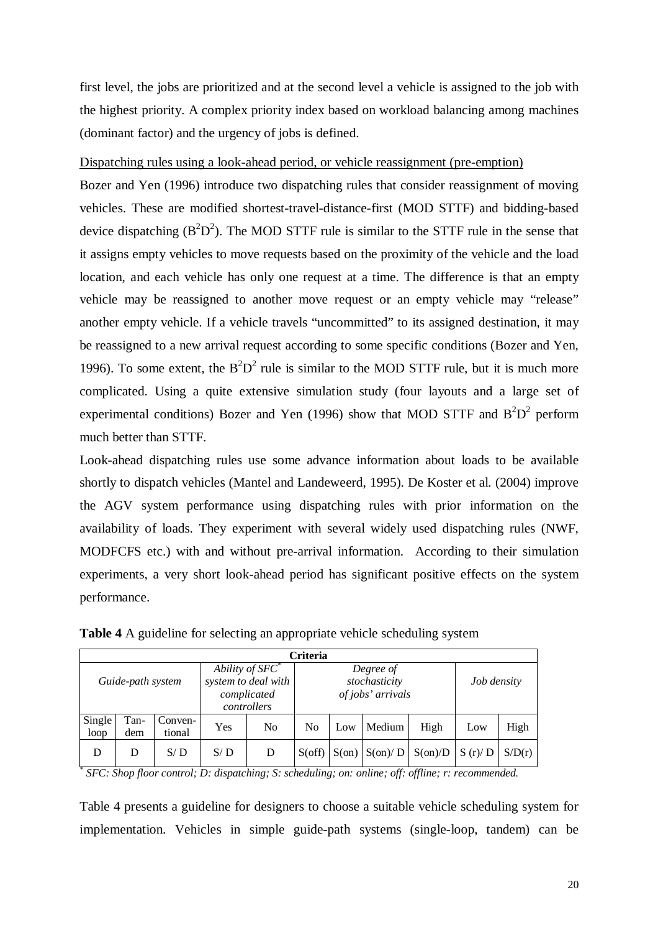first level, the jobs are prioritized and at the second level a vehicle is assigned to the job with the highest priority. A complex priority index based on workload balancing among machines (dominant factor) and the urgency of jobs is defined.

#### Dispatching rules using a look-ahead period, or vehicle reassignment (pre-emption)

Bozer and Yen (1996) introduce two dispatching rules that consider reassignment of moving vehicles. These are modified shortest-travel-distance-first (MOD STTF) and bidding-based device dispatching  $(B^2D^2)$ . The MOD STTF rule is similar to the STTF rule in the sense that it assigns empty vehicles to move requests based on the proximity of the vehicle and the load location, and each vehicle has only one request at a time. The difference is that an empty vehicle may be reassigned to another move request or an empty vehicle may "release" another empty vehicle. If a vehicle travels "uncommitted" to its assigned destination, it may be reassigned to a new arrival request according to some specific conditions (Bozer and Yen, 1996). To some extent, the  $B^2D^2$  rule is similar to the MOD STTF rule, but it is much more complicated. Using a quite extensive simulation study (four layouts and a large set of experimental conditions) Bozer and Yen (1996) show that MOD STTF and  $B^2D^2$  perform much better than STTF.

Look-ahead dispatching rules use some advance information about loads to be available shortly to dispatch vehicles (Mantel and Landeweerd, 1995). De Koster et al. (2004) improve the AGV system performance using dispatching rules with prior information on the availability of loads. They experiment with several widely used dispatching rules (NWF, MODFCFS etc.) with and without pre-arrival information. According to their simulation experiments, a very short look-ahead period has significant positive effects on the system performance.

| <b>Criteria</b>   |             |                                                                         |     |                                                 |                |       |                  |                  |        |        |
|-------------------|-------------|-------------------------------------------------------------------------|-----|-------------------------------------------------|----------------|-------|------------------|------------------|--------|--------|
| Guide-path system |             | Ability of $SFC^*$<br>system to deal with<br>complicated<br>controllers |     | Degree of<br>stochasticity<br>of jobs' arrivals |                |       | Job density      |                  |        |        |
| Single<br>loop    | Tan-<br>dem | Conven-<br>tional                                                       | Yes | N <sub>0</sub>                                  | N <sub>0</sub> | Low   | Medium           | High             | Low    | High   |
| D                 | D           | S/D                                                                     | S/D | D                                               | $S$ (off)      | S(0n) | $S(\text{on})/D$ | $S(\text{on})/D$ | S(r)/D | S/D(r) |

**Table 4** A guideline for selecting an appropriate vehicle scheduling system

*\* SFC: Shop floor control; D: dispatching; S: scheduling; on: online; off: offline; r: recommended.* 

Table 4 presents a guideline for designers to choose a suitable vehicle scheduling system for implementation. Vehicles in simple guide-path systems (single-loop, tandem) can be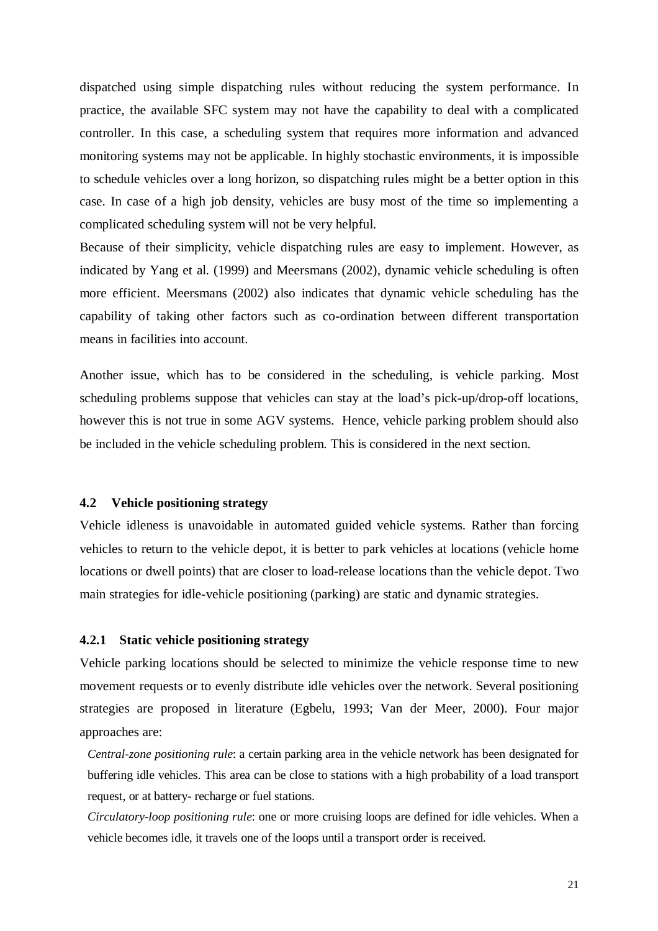dispatched using simple dispatching rules without reducing the system performance. In practice, the available SFC system may not have the capability to deal with a complicated controller. In this case, a scheduling system that requires more information and advanced monitoring systems may not be applicable. In highly stochastic environments, it is impossible to schedule vehicles over a long horizon, so dispatching rules might be a better option in this case. In case of a high job density, vehicles are busy most of the time so implementing a complicated scheduling system will not be very helpful.

Because of their simplicity, vehicle dispatching rules are easy to implement. However, as indicated by Yang et al. (1999) and Meersmans (2002), dynamic vehicle scheduling is often more efficient. Meersmans (2002) also indicates that dynamic vehicle scheduling has the capability of taking other factors such as co-ordination between different transportation means in facilities into account.

Another issue, which has to be considered in the scheduling, is vehicle parking. Most scheduling problems suppose that vehicles can stay at the load's pick-up/drop-off locations, however this is not true in some AGV systems. Hence, vehicle parking problem should also be included in the vehicle scheduling problem. This is considered in the next section.

#### **4.2 Vehicle positioning strategy**

Vehicle idleness is unavoidable in automated guided vehicle systems. Rather than forcing vehicles to return to the vehicle depot, it is better to park vehicles at locations (vehicle home locations or dwell points) that are closer to load-release locations than the vehicle depot. Two main strategies for idle-vehicle positioning (parking) are static and dynamic strategies.

#### **4.2.1 Static vehicle positioning strategy**

Vehicle parking locations should be selected to minimize the vehicle response time to new movement requests or to evenly distribute idle vehicles over the network. Several positioning strategies are proposed in literature (Egbelu, 1993; Van der Meer, 2000). Four major approaches are:

*Central-zone positioning rule*: a certain parking area in the vehicle network has been designated for buffering idle vehicles. This area can be close to stations with a high probability of a load transport request, or at battery- recharge or fuel stations.

*Circulatory-loop positioning rule*: one or more cruising loops are defined for idle vehicles. When a vehicle becomes idle, it travels one of the loops until a transport order is received.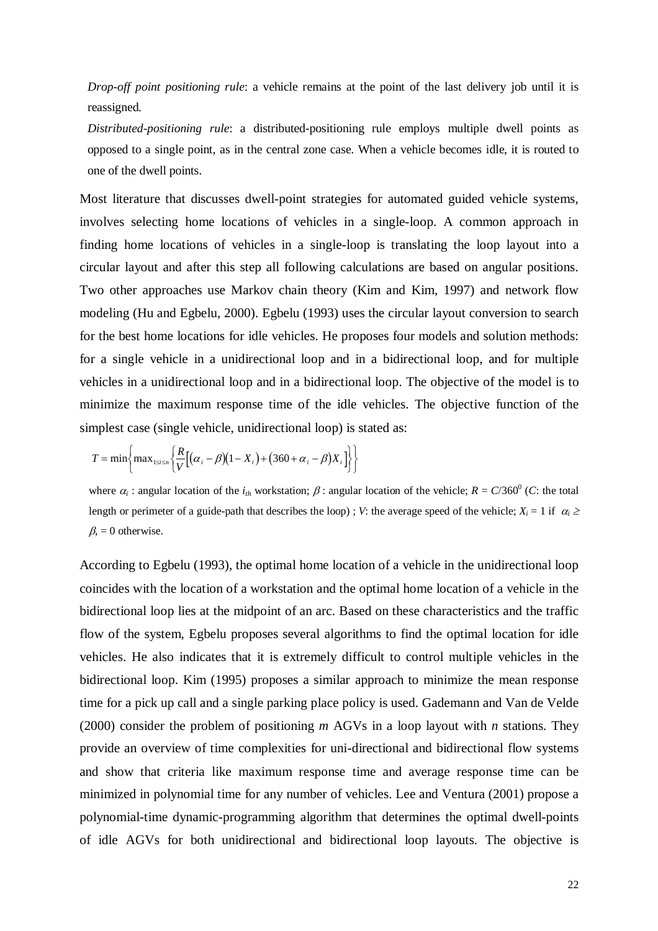*Drop-off point positioning rule*: a vehicle remains at the point of the last delivery job until it is reassigned.

*Distributed-positioning rule*: a distributed-positioning rule employs multiple dwell points as opposed to a single point, as in the central zone case. When a vehicle becomes idle, it is routed to one of the dwell points.

Most literature that discusses dwell-point strategies for automated guided vehicle systems, involves selecting home locations of vehicles in a single-loop. A common approach in finding home locations of vehicles in a single-loop is translating the loop layout into a circular layout and after this step all following calculations are based on angular positions. Two other approaches use Markov chain theory (Kim and Kim, 1997) and network flow modeling (Hu and Egbelu, 2000). Egbelu (1993) uses the circular layout conversion to search for the best home locations for idle vehicles. He proposes four models and solution methods: for a single vehicle in a unidirectional loop and in a bidirectional loop, and for multiple vehicles in a unidirectional loop and in a bidirectional loop. The objective of the model is to minimize the maximum response time of the idle vehicles. The objective function of the simplest case (single vehicle, unidirectional loop) is stated as:

$$
T = \min\left\{\max_{1 \le i \le n} \left\{\frac{R}{V} \left[ (\alpha_i - \beta)(1 - X_i) + (360 + \alpha_i - \beta)X_i \right] \right\} \right\}
$$

where  $\alpha_i$ : angular location of the  $i_{th}$  workstation;  $\beta$ : angular location of the vehicle;  $R = C/360^\circ$  (*C*: the total length or perimeter of a guide-path that describes the loop) ; *V*: the average speed of the vehicle;  $X_i = 1$  if  $\alpha_i \ge$  $\beta$ , = 0 otherwise.

According to Egbelu (1993), the optimal home location of a vehicle in the unidirectional loop coincides with the location of a workstation and the optimal home location of a vehicle in the bidirectional loop lies at the midpoint of an arc. Based on these characteristics and the traffic flow of the system, Egbelu proposes several algorithms to find the optimal location for idle vehicles. He also indicates that it is extremely difficult to control multiple vehicles in the bidirectional loop. Kim (1995) proposes a similar approach to minimize the mean response time for a pick up call and a single parking place policy is used. Gademann and Van de Velde (2000) consider the problem of positioning *m* AGVs in a loop layout with *n* stations. They provide an overview of time complexities for uni-directional and bidirectional flow systems and show that criteria like maximum response time and average response time can be minimized in polynomial time for any number of vehicles. Lee and Ventura (2001) propose a polynomial-time dynamic-programming algorithm that determines the optimal dwell-points of idle AGVs for both unidirectional and bidirectional loop layouts. The objective is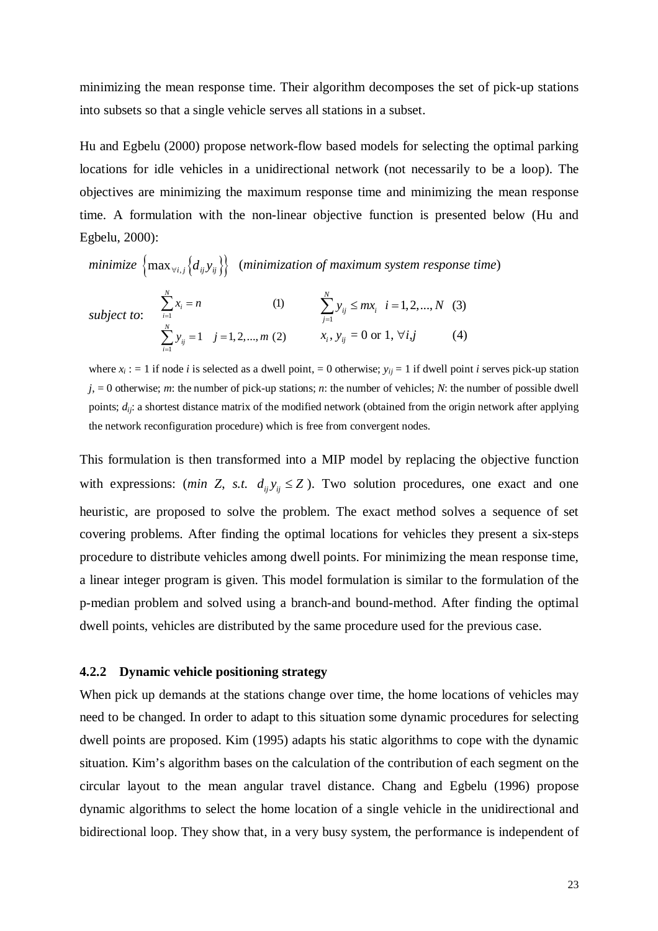minimizing the mean response time. Their algorithm decomposes the set of pick-up stations into subsets so that a single vehicle serves all stations in a subset.

Hu and Egbelu (2000) propose network-flow based models for selecting the optimal parking locations for idle vehicles in a unidirectional network (not necessarily to be a loop). The objectives are minimizing the maximum response time and minimizing the mean response time. A formulation with the non-linear objective function is presented below (Hu and Egbelu, 2000):

*minimize*  $\{ \max_{\forall i,j} \{d_{ij}y_{ij}\} \}$  (*minimization of maximum system response time*)

subject to: 
$$
\sum_{i=1}^{N} x_i = n
$$
 (1) 
$$
\sum_{j=1}^{N} y_{ij} \le mx_i \quad i = 1, 2, ..., N
$$
 (3)  

$$
\sum_{i=1}^{N} y_{ij} = 1 \quad j = 1, 2, ..., m
$$
 (2) 
$$
x_i, y_{ij} = 0 \text{ or } 1, \forall i, j
$$
 (4)

where  $x_i := 1$  if node *i* is selected as a dwell point, = 0 otherwise;  $y_{ii} = 1$  if dwell point *i* serves pick-up station *j*, = 0 otherwise; *m*: the number of pick-up stations; *n*: the number of vehicles; *N*: the number of possible dwell points; *dij*: a shortest distance matrix of the modified network (obtained from the origin network after applying the network reconfiguration procedure) which is free from convergent nodes.

This formulation is then transformed into a MIP model by replacing the objective function with expressions: (*min Z*, *s.t.*  $d_{ij}y_{ij} \leq Z$ ). Two solution procedures, one exact and one heuristic, are proposed to solve the problem. The exact method solves a sequence of set covering problems. After finding the optimal locations for vehicles they present a six-steps procedure to distribute vehicles among dwell points. For minimizing the mean response time, a linear integer program is given. This model formulation is similar to the formulation of the p-median problem and solved using a branch-and bound-method. After finding the optimal dwell points, vehicles are distributed by the same procedure used for the previous case.

#### **4.2.2 Dynamic vehicle positioning strategy**

When pick up demands at the stations change over time, the home locations of vehicles may need to be changed. In order to adapt to this situation some dynamic procedures for selecting dwell points are proposed. Kim (1995) adapts his static algorithms to cope with the dynamic situation. Kim's algorithm bases on the calculation of the contribution of each segment on the circular layout to the mean angular travel distance. Chang and Egbelu (1996) propose dynamic algorithms to select the home location of a single vehicle in the unidirectional and bidirectional loop. They show that, in a very busy system, the performance is independent of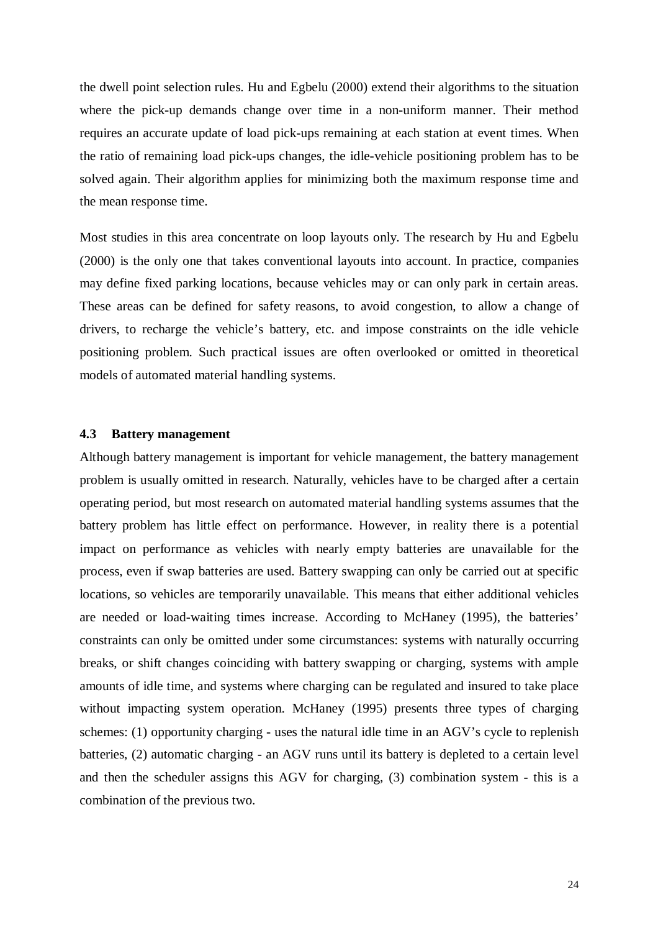the dwell point selection rules. Hu and Egbelu (2000) extend their algorithms to the situation where the pick-up demands change over time in a non-uniform manner. Their method requires an accurate update of load pick-ups remaining at each station at event times. When the ratio of remaining load pick-ups changes, the idle-vehicle positioning problem has to be solved again. Their algorithm applies for minimizing both the maximum response time and the mean response time.

Most studies in this area concentrate on loop layouts only. The research by Hu and Egbelu (2000) is the only one that takes conventional layouts into account. In practice, companies may define fixed parking locations, because vehicles may or can only park in certain areas. These areas can be defined for safety reasons, to avoid congestion, to allow a change of drivers, to recharge the vehicle's battery, etc. and impose constraints on the idle vehicle positioning problem. Such practical issues are often overlooked or omitted in theoretical models of automated material handling systems.

#### **4.3 Battery management**

Although battery management is important for vehicle management, the battery management problem is usually omitted in research. Naturally, vehicles have to be charged after a certain operating period, but most research on automated material handling systems assumes that the battery problem has little effect on performance. However, in reality there is a potential impact on performance as vehicles with nearly empty batteries are unavailable for the process, even if swap batteries are used. Battery swapping can only be carried out at specific locations, so vehicles are temporarily unavailable. This means that either additional vehicles are needed or load-waiting times increase. According to McHaney (1995), the batteries' constraints can only be omitted under some circumstances: systems with naturally occurring breaks, or shift changes coinciding with battery swapping or charging, systems with ample amounts of idle time, and systems where charging can be regulated and insured to take place without impacting system operation. McHaney (1995) presents three types of charging schemes: (1) opportunity charging - uses the natural idle time in an AGV's cycle to replenish batteries, (2) automatic charging - an AGV runs until its battery is depleted to a certain level and then the scheduler assigns this AGV for charging, (3) combination system - this is a combination of the previous two.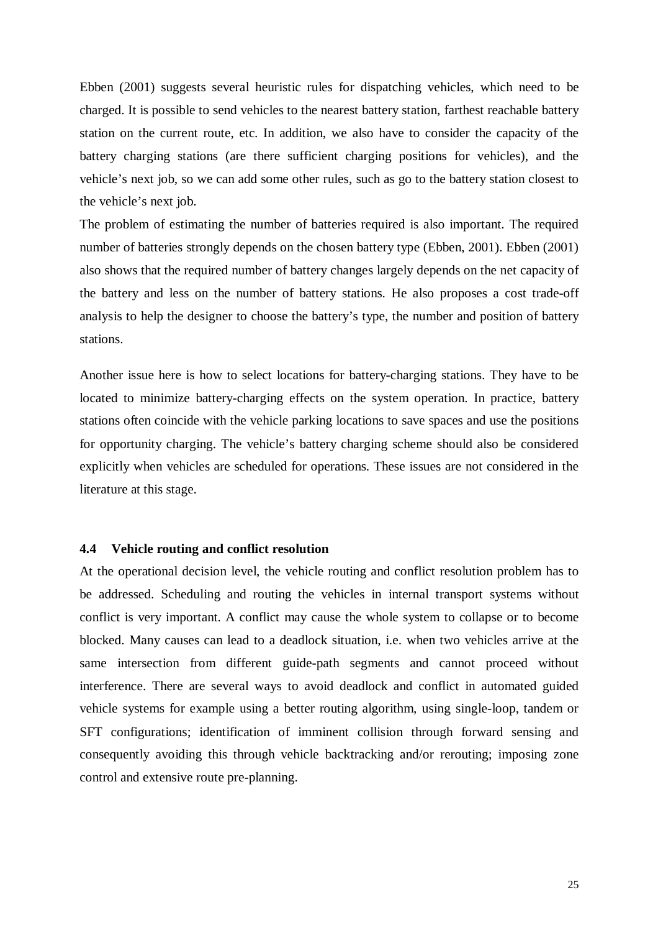Ebben (2001) suggests several heuristic rules for dispatching vehicles, which need to be charged. It is possible to send vehicles to the nearest battery station, farthest reachable battery station on the current route, etc. In addition, we also have to consider the capacity of the battery charging stations (are there sufficient charging positions for vehicles), and the vehicle's next job, so we can add some other rules, such as go to the battery station closest to the vehicle's next job.

The problem of estimating the number of batteries required is also important. The required number of batteries strongly depends on the chosen battery type (Ebben, 2001). Ebben (2001) also shows that the required number of battery changes largely depends on the net capacity of the battery and less on the number of battery stations. He also proposes a cost trade-off analysis to help the designer to choose the battery's type, the number and position of battery stations.

Another issue here is how to select locations for battery-charging stations. They have to be located to minimize battery-charging effects on the system operation. In practice, battery stations often coincide with the vehicle parking locations to save spaces and use the positions for opportunity charging. The vehicle's battery charging scheme should also be considered explicitly when vehicles are scheduled for operations. These issues are not considered in the literature at this stage.

#### **4.4 Vehicle routing and conflict resolution**

At the operational decision level, the vehicle routing and conflict resolution problem has to be addressed. Scheduling and routing the vehicles in internal transport systems without conflict is very important. A conflict may cause the whole system to collapse or to become blocked. Many causes can lead to a deadlock situation, i.e. when two vehicles arrive at the same intersection from different guide-path segments and cannot proceed without interference. There are several ways to avoid deadlock and conflict in automated guided vehicle systems for example using a better routing algorithm, using single-loop, tandem or SFT configurations; identification of imminent collision through forward sensing and consequently avoiding this through vehicle backtracking and/or rerouting; imposing zone control and extensive route pre-planning.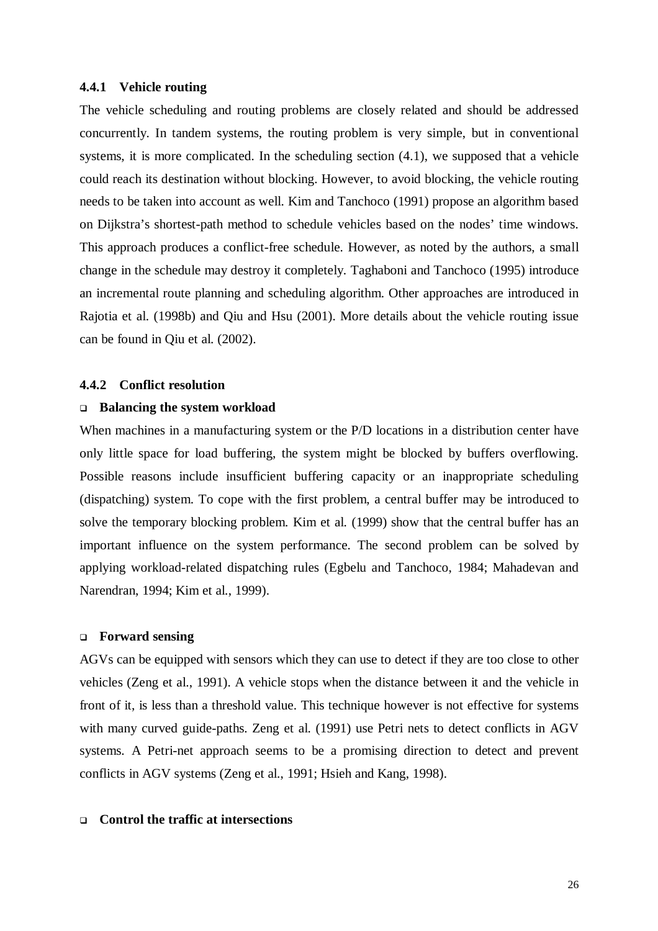#### **4.4.1 Vehicle routing**

The vehicle scheduling and routing problems are closely related and should be addressed concurrently. In tandem systems, the routing problem is very simple, but in conventional systems, it is more complicated. In the scheduling section (4.1), we supposed that a vehicle could reach its destination without blocking. However, to avoid blocking, the vehicle routing needs to be taken into account as well. Kim and Tanchoco (1991) propose an algorithm based on Dijkstra's shortest-path method to schedule vehicles based on the nodes' time windows. This approach produces a conflict-free schedule. However, as noted by the authors, a small change in the schedule may destroy it completely. Taghaboni and Tanchoco (1995) introduce an incremental route planning and scheduling algorithm. Other approaches are introduced in Rajotia et al. (1998b) and Qiu and Hsu (2001). More details about the vehicle routing issue can be found in Qiu et al. (2002).

#### **4.4.2 Conflict resolution**

#### **Balancing the system workload**

When machines in a manufacturing system or the P/D locations in a distribution center have only little space for load buffering, the system might be blocked by buffers overflowing. Possible reasons include insufficient buffering capacity or an inappropriate scheduling (dispatching) system. To cope with the first problem, a central buffer may be introduced to solve the temporary blocking problem. Kim et al. (1999) show that the central buffer has an important influence on the system performance. The second problem can be solved by applying workload-related dispatching rules (Egbelu and Tanchoco, 1984; Mahadevan and Narendran, 1994; Kim et al., 1999).

#### **Forward sensing**

AGVs can be equipped with sensors which they can use to detect if they are too close to other vehicles (Zeng et al., 1991). A vehicle stops when the distance between it and the vehicle in front of it, is less than a threshold value. This technique however is not effective for systems with many curved guide-paths. Zeng et al. (1991) use Petri nets to detect conflicts in AGV systems. A Petri-net approach seems to be a promising direction to detect and prevent conflicts in AGV systems (Zeng et al., 1991; Hsieh and Kang, 1998).

#### **Control the traffic at intersections**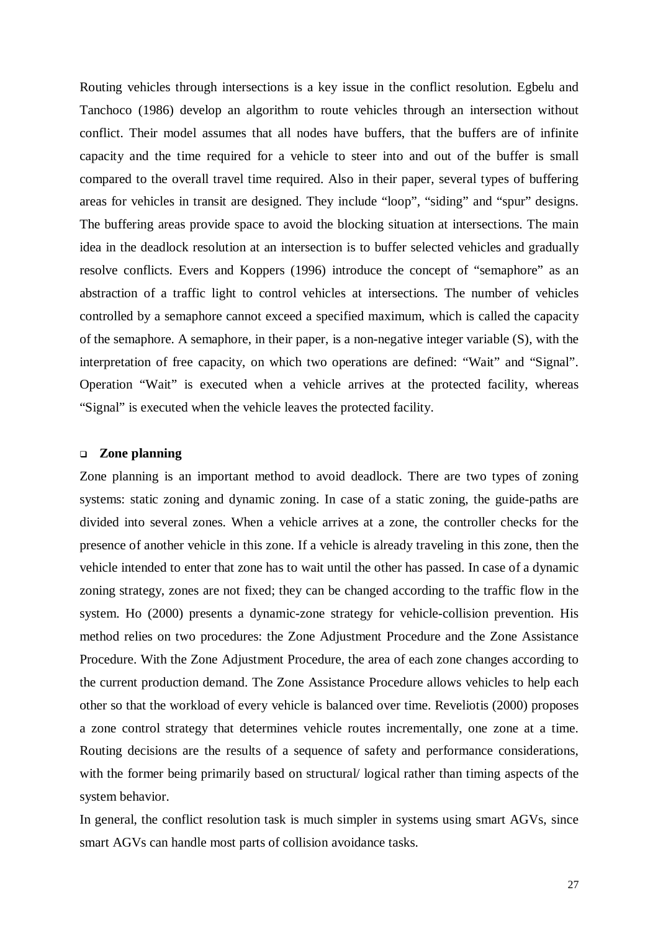Routing vehicles through intersections is a key issue in the conflict resolution. Egbelu and Tanchoco (1986) develop an algorithm to route vehicles through an intersection without conflict. Their model assumes that all nodes have buffers, that the buffers are of infinite capacity and the time required for a vehicle to steer into and out of the buffer is small compared to the overall travel time required. Also in their paper, several types of buffering areas for vehicles in transit are designed. They include "loop", "siding" and "spur" designs. The buffering areas provide space to avoid the blocking situation at intersections. The main idea in the deadlock resolution at an intersection is to buffer selected vehicles and gradually resolve conflicts. Evers and Koppers (1996) introduce the concept of "semaphore" as an abstraction of a traffic light to control vehicles at intersections. The number of vehicles controlled by a semaphore cannot exceed a specified maximum, which is called the capacity of the semaphore. A semaphore, in their paper, is a non-negative integer variable (S), with the interpretation of free capacity, on which two operations are defined: "Wait" and "Signal". Operation "Wait" is executed when a vehicle arrives at the protected facility, whereas "Signal" is executed when the vehicle leaves the protected facility.

#### **Zone planning**

Zone planning is an important method to avoid deadlock. There are two types of zoning systems: static zoning and dynamic zoning. In case of a static zoning, the guide-paths are divided into several zones. When a vehicle arrives at a zone, the controller checks for the presence of another vehicle in this zone. If a vehicle is already traveling in this zone, then the vehicle intended to enter that zone has to wait until the other has passed. In case of a dynamic zoning strategy, zones are not fixed; they can be changed according to the traffic flow in the system. Ho (2000) presents a dynamic-zone strategy for vehicle-collision prevention. His method relies on two procedures: the Zone Adjustment Procedure and the Zone Assistance Procedure. With the Zone Adjustment Procedure, the area of each zone changes according to the current production demand. The Zone Assistance Procedure allows vehicles to help each other so that the workload of every vehicle is balanced over time. Reveliotis (2000) proposes a zone control strategy that determines vehicle routes incrementally, one zone at a time. Routing decisions are the results of a sequence of safety and performance considerations, with the former being primarily based on structural/ logical rather than timing aspects of the system behavior.

In general, the conflict resolution task is much simpler in systems using smart AGVs, since smart AGVs can handle most parts of collision avoidance tasks.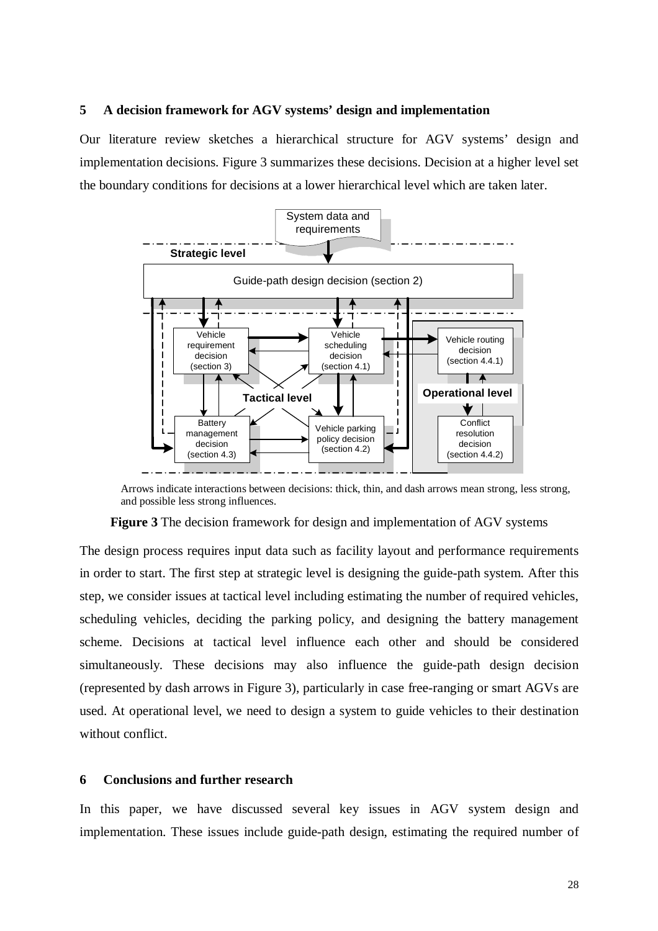#### **5 A decision framework for AGV systems' design and implementation**

Our literature review sketches a hierarchical structure for AGV systems' design and implementation decisions. Figure 3 summarizes these decisions. Decision at a higher level set the boundary conditions for decisions at a lower hierarchical level which are taken later.



Arrows indicate interactions between decisions: thick, thin, and dash arrows mean strong, less strong, and possible less strong influences.

**Figure 3** The decision framework for design and implementation of AGV systems

The design process requires input data such as facility layout and performance requirements in order to start. The first step at strategic level is designing the guide-path system. After this step, we consider issues at tactical level including estimating the number of required vehicles, scheduling vehicles, deciding the parking policy, and designing the battery management scheme. Decisions at tactical level influence each other and should be considered simultaneously. These decisions may also influence the guide-path design decision (represented by dash arrows in Figure 3), particularly in case free-ranging or smart AGVs are used. At operational level, we need to design a system to guide vehicles to their destination without conflict.

#### **6 Conclusions and further research**

In this paper, we have discussed several key issues in AGV system design and implementation. These issues include guide-path design, estimating the required number of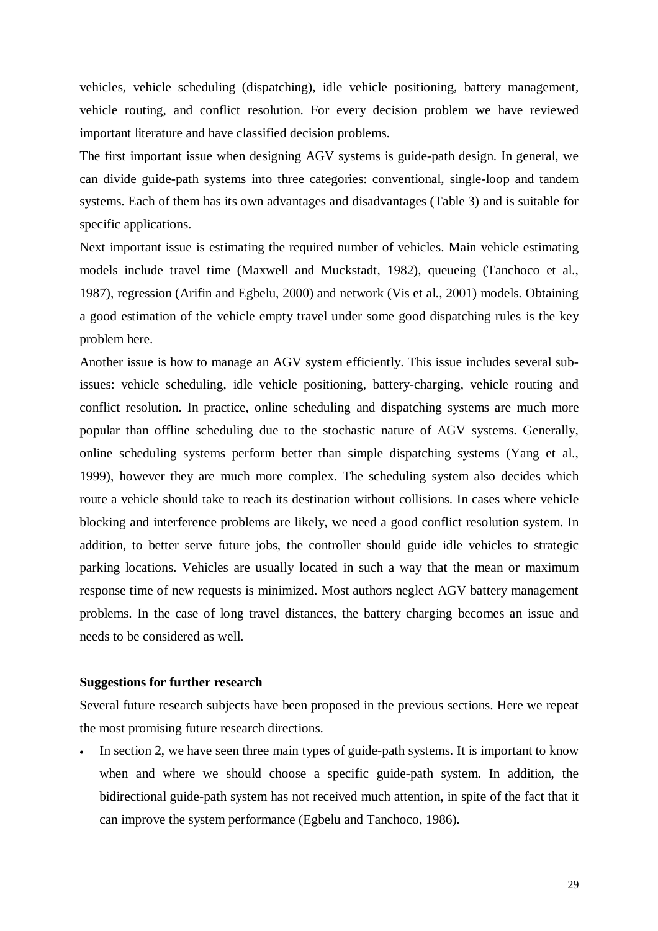vehicles, vehicle scheduling (dispatching), idle vehicle positioning, battery management, vehicle routing, and conflict resolution. For every decision problem we have reviewed important literature and have classified decision problems.

The first important issue when designing AGV systems is guide-path design. In general, we can divide guide-path systems into three categories: conventional, single-loop and tandem systems. Each of them has its own advantages and disadvantages (Table 3) and is suitable for specific applications.

Next important issue is estimating the required number of vehicles. Main vehicle estimating models include travel time (Maxwell and Muckstadt, 1982), queueing (Tanchoco et al., 1987), regression (Arifin and Egbelu, 2000) and network (Vis et al., 2001) models. Obtaining a good estimation of the vehicle empty travel under some good dispatching rules is the key problem here.

Another issue is how to manage an AGV system efficiently. This issue includes several subissues: vehicle scheduling, idle vehicle positioning, battery-charging, vehicle routing and conflict resolution. In practice, online scheduling and dispatching systems are much more popular than offline scheduling due to the stochastic nature of AGV systems. Generally, online scheduling systems perform better than simple dispatching systems (Yang et al., 1999), however they are much more complex. The scheduling system also decides which route a vehicle should take to reach its destination without collisions. In cases where vehicle blocking and interference problems are likely, we need a good conflict resolution system. In addition, to better serve future jobs, the controller should guide idle vehicles to strategic parking locations. Vehicles are usually located in such a way that the mean or maximum response time of new requests is minimized. Most authors neglect AGV battery management problems. In the case of long travel distances, the battery charging becomes an issue and needs to be considered as well.

#### **Suggestions for further research**

Several future research subjects have been proposed in the previous sections. Here we repeat the most promising future research directions.

In section 2, we have seen three main types of guide-path systems. It is important to know when and where we should choose a specific guide-path system. In addition, the bidirectional guide-path system has not received much attention, in spite of the fact that it can improve the system performance (Egbelu and Tanchoco, 1986).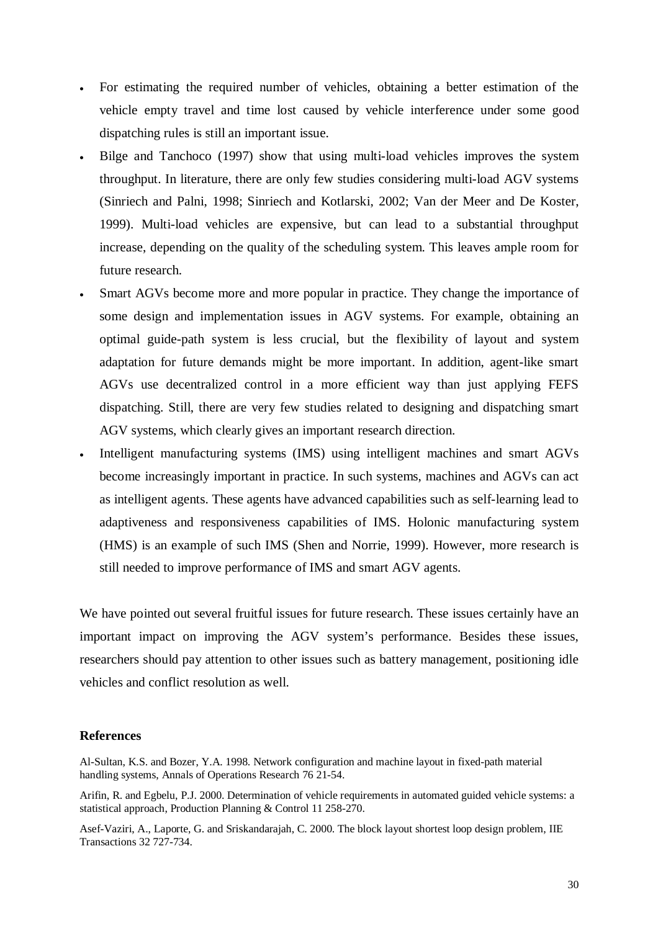- For estimating the required number of vehicles, obtaining a better estimation of the vehicle empty travel and time lost caused by vehicle interference under some good dispatching rules is still an important issue.
- Bilge and Tanchoco (1997) show that using multi-load vehicles improves the system throughput. In literature, there are only few studies considering multi-load AGV systems (Sinriech and Palni, 1998; Sinriech and Kotlarski, 2002; Van der Meer and De Koster, 1999). Multi-load vehicles are expensive, but can lead to a substantial throughput increase, depending on the quality of the scheduling system. This leaves ample room for future research.
- Smart AGVs become more and more popular in practice. They change the importance of some design and implementation issues in AGV systems. For example, obtaining an optimal guide-path system is less crucial, but the flexibility of layout and system adaptation for future demands might be more important. In addition, agent-like smart AGVs use decentralized control in a more efficient way than just applying FEFS dispatching. Still, there are very few studies related to designing and dispatching smart AGV systems, which clearly gives an important research direction.
- Intelligent manufacturing systems (IMS) using intelligent machines and smart AGVs become increasingly important in practice. In such systems, machines and AGVs can act as intelligent agents. These agents have advanced capabilities such as self-learning lead to adaptiveness and responsiveness capabilities of IMS. Holonic manufacturing system (HMS) is an example of such IMS (Shen and Norrie, 1999). However, more research is still needed to improve performance of IMS and smart AGV agents.

We have pointed out several fruitful issues for future research. These issues certainly have an important impact on improving the AGV system's performance. Besides these issues, researchers should pay attention to other issues such as battery management, positioning idle vehicles and conflict resolution as well.

#### **References**

Al-Sultan, K.S. and Bozer, Y.A. 1998. Network configuration and machine layout in fixed-path material handling systems, Annals of Operations Research 76 21-54.

Arifin, R. and Egbelu, P.J. 2000. Determination of vehicle requirements in automated guided vehicle systems: a statistical approach, Production Planning & Control 11 258-270.

Asef-Vaziri, A., Laporte, G. and Sriskandarajah, C. 2000. The block layout shortest loop design problem, IIE Transactions 32 727-734.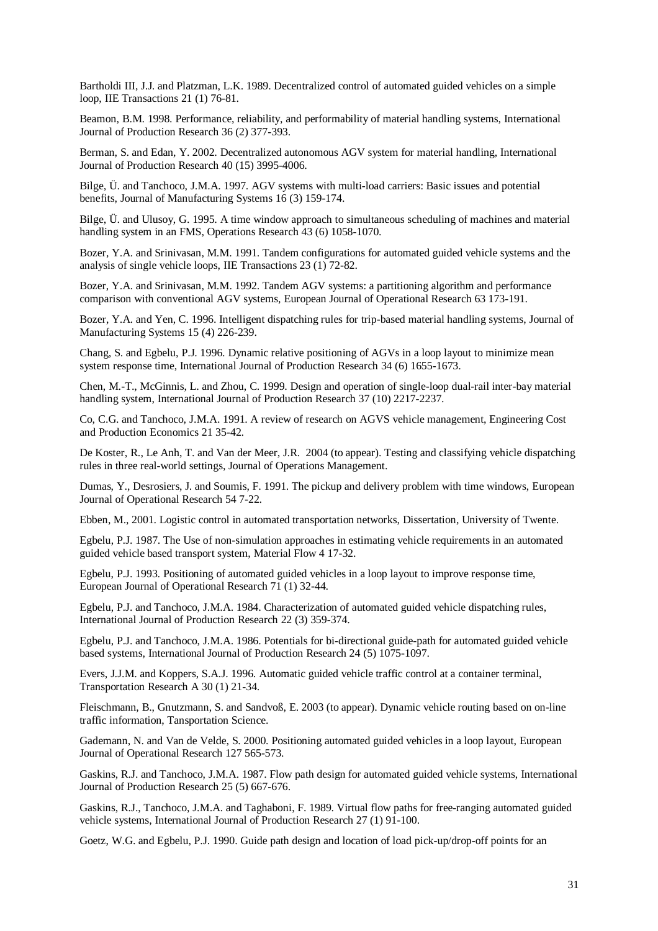Bartholdi III, J.J. and Platzman, L.K. 1989. Decentralized control of automated guided vehicles on a simple loop, IIE Transactions 21 (1) 76-81.

Beamon, B.M. 1998. Performance, reliability, and performability of material handling systems, International Journal of Production Research 36 (2) 377-393.

Berman, S. and Edan, Y. 2002. Decentralized autonomous AGV system for material handling, International Journal of Production Research 40 (15) 3995-4006.

Bilge, Ü. and Tanchoco, J.M.A. 1997. AGV systems with multi-load carriers: Basic issues and potential benefits, Journal of Manufacturing Systems 16 (3) 159-174.

Bilge, Ü. and Ulusoy, G. 1995. A time window approach to simultaneous scheduling of machines and material handling system in an FMS, Operations Research 43 (6) 1058-1070.

Bozer, Y.A. and Srinivasan, M.M. 1991. Tandem configurations for automated guided vehicle systems and the analysis of single vehicle loops, IIE Transactions 23 (1) 72-82.

Bozer, Y.A. and Srinivasan, M.M. 1992. Tandem AGV systems: a partitioning algorithm and performance comparison with conventional AGV systems, European Journal of Operational Research 63 173-191.

Bozer, Y.A. and Yen, C. 1996. Intelligent dispatching rules for trip-based material handling systems, Journal of Manufacturing Systems 15 (4) 226-239.

Chang, S. and Egbelu, P.J. 1996. Dynamic relative positioning of AGVs in a loop layout to minimize mean system response time, International Journal of Production Research 34 (6) 1655-1673.

Chen, M.-T., McGinnis, L. and Zhou, C. 1999. Design and operation of single-loop dual-rail inter-bay material handling system, International Journal of Production Research 37 (10) 2217-2237.

Co, C.G. and Tanchoco, J.M.A. 1991. A review of research on AGVS vehicle management, Engineering Cost and Production Economics 21 35-42.

De Koster, R., Le Anh, T. and Van der Meer, J.R. 2004 (to appear). Testing and classifying vehicle dispatching rules in three real-world settings, Journal of Operations Management.

Dumas, Y., Desrosiers, J. and Soumis, F. 1991. The pickup and delivery problem with time windows, European Journal of Operational Research 54 7-22.

Ebben, M., 2001. Logistic control in automated transportation networks, Dissertation, University of Twente.

Egbelu, P.J. 1987. The Use of non-simulation approaches in estimating vehicle requirements in an automated guided vehicle based transport system, Material Flow 4 17-32.

Egbelu, P.J. 1993. Positioning of automated guided vehicles in a loop layout to improve response time, European Journal of Operational Research 71 (1) 32-44.

Egbelu, P.J. and Tanchoco, J.M.A. 1984. Characterization of automated guided vehicle dispatching rules, International Journal of Production Research 22 (3) 359-374.

Egbelu, P.J. and Tanchoco, J.M.A. 1986. Potentials for bi-directional guide-path for automated guided vehicle based systems, International Journal of Production Research 24 (5) 1075-1097.

Evers, J.J.M. and Koppers, S.A.J. 1996. Automatic guided vehicle traffic control at a container terminal, Transportation Research A 30 (1) 21-34.

Fleischmann, B., Gnutzmann, S. and Sandvoß, E. 2003 (to appear). Dynamic vehicle routing based on on-line traffic information, Tansportation Science.

Gademann, N. and Van de Velde, S. 2000. Positioning automated guided vehicles in a loop layout, European Journal of Operational Research 127 565-573.

Gaskins, R.J. and Tanchoco, J.M.A. 1987. Flow path design for automated guided vehicle systems, International Journal of Production Research 25 (5) 667-676.

Gaskins, R.J., Tanchoco, J.M.A. and Taghaboni, F. 1989. Virtual flow paths for free-ranging automated guided vehicle systems, International Journal of Production Research 27 (1) 91-100.

Goetz, W.G. and Egbelu, P.J. 1990. Guide path design and location of load pick-up/drop-off points for an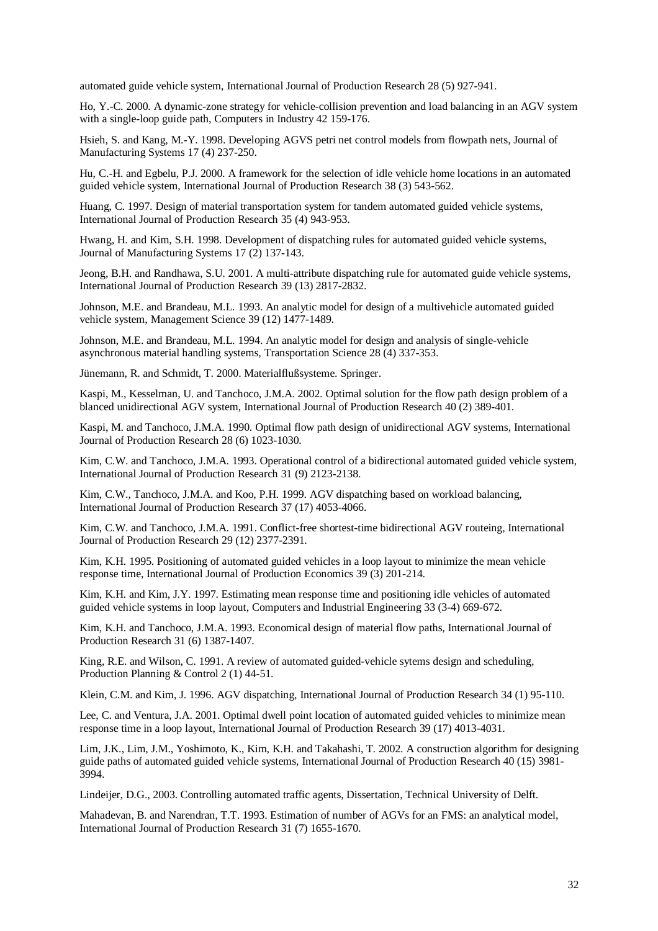automated guide vehicle system, International Journal of Production Research 28 (5) 927-941.

Ho, Y.-C. 2000. A dynamic-zone strategy for vehicle-collision prevention and load balancing in an AGV system with a single-loop guide path, Computers in Industry 42 159-176.

Hsieh, S. and Kang, M.-Y. 1998. Developing AGVS petri net control models from flowpath nets, Journal of Manufacturing Systems 17 (4) 237-250.

Hu, C.-H. and Egbelu, P.J. 2000. A framework for the selection of idle vehicle home locations in an automated guided vehicle system, International Journal of Production Research 38 (3) 543-562.

Huang, C. 1997. Design of material transportation system for tandem automated guided vehicle systems, International Journal of Production Research 35 (4) 943-953.

Hwang, H. and Kim, S.H. 1998. Development of dispatching rules for automated guided vehicle systems, Journal of Manufacturing Systems 17 (2) 137-143.

Jeong, B.H. and Randhawa, S.U. 2001. A multi-attribute dispatching rule for automated guide vehicle systems, International Journal of Production Research 39 (13) 2817-2832.

Johnson, M.E. and Brandeau, M.L. 1993. An analytic model for design of a multivehicle automated guided vehicle system, Management Science 39 (12) 1477-1489.

Johnson, M.E. and Brandeau, M.L. 1994. An analytic model for design and analysis of single-vehicle asynchronous material handling systems, Transportation Science 28 (4) 337-353.

Jünemann, R. and Schmidt, T. 2000. Materialflußsysteme. Springer.

Kaspi, M., Kesselman, U. and Tanchoco, J.M.A. 2002. Optimal solution for the flow path design problem of a blanced unidirectional AGV system, International Journal of Production Research 40 (2) 389-401.

Kaspi, M. and Tanchoco, J.M.A. 1990. Optimal flow path design of unidirectional AGV systems, International Journal of Production Research 28 (6) 1023-1030.

Kim, C.W. and Tanchoco, J.M.A. 1993. Operational control of a bidirectional automated guided vehicle system, International Journal of Production Research 31 (9) 2123-2138.

Kim, C.W., Tanchoco, J.M.A. and Koo, P.H. 1999. AGV dispatching based on workload balancing, International Journal of Production Research 37 (17) 4053-4066.

Kim, C.W. and Tanchoco, J.M.A. 1991. Conflict-free shortest-time bidirectional AGV routeing, International Journal of Production Research 29 (12) 2377-2391.

Kim, K.H. 1995. Positioning of automated guided vehicles in a loop layout to minimize the mean vehicle response time, International Journal of Production Economics 39 (3) 201-214.

Kim, K.H. and Kim, J.Y. 1997. Estimating mean response time and positioning idle vehicles of automated guided vehicle systems in loop layout, Computers and Industrial Engineering 33 (3-4) 669-672.

Kim, K.H. and Tanchoco, J.M.A. 1993. Economical design of material flow paths, International Journal of Production Research 31 (6) 1387-1407.

King, R.E. and Wilson, C. 1991. A review of automated guided-vehicle sytems design and scheduling, Production Planning & Control 2 (1) 44-51.

Klein, C.M. and Kim, J. 1996. AGV dispatching, International Journal of Production Research 34 (1) 95-110.

Lee, C. and Ventura, J.A. 2001. Optimal dwell point location of automated guided vehicles to minimize mean response time in a loop layout, International Journal of Production Research 39 (17) 4013-4031.

Lim, J.K., Lim, J.M., Yoshimoto, K., Kim, K.H. and Takahashi, T. 2002. A construction algorithm for designing guide paths of automated guided vehicle systems, International Journal of Production Research 40 (15) 3981- 3994.

Lindeijer, D.G., 2003. Controlling automated traffic agents, Dissertation, Technical University of Delft.

Mahadevan, B. and Narendran, T.T. 1993. Estimation of number of AGVs for an FMS: an analytical model, International Journal of Production Research 31 (7) 1655-1670.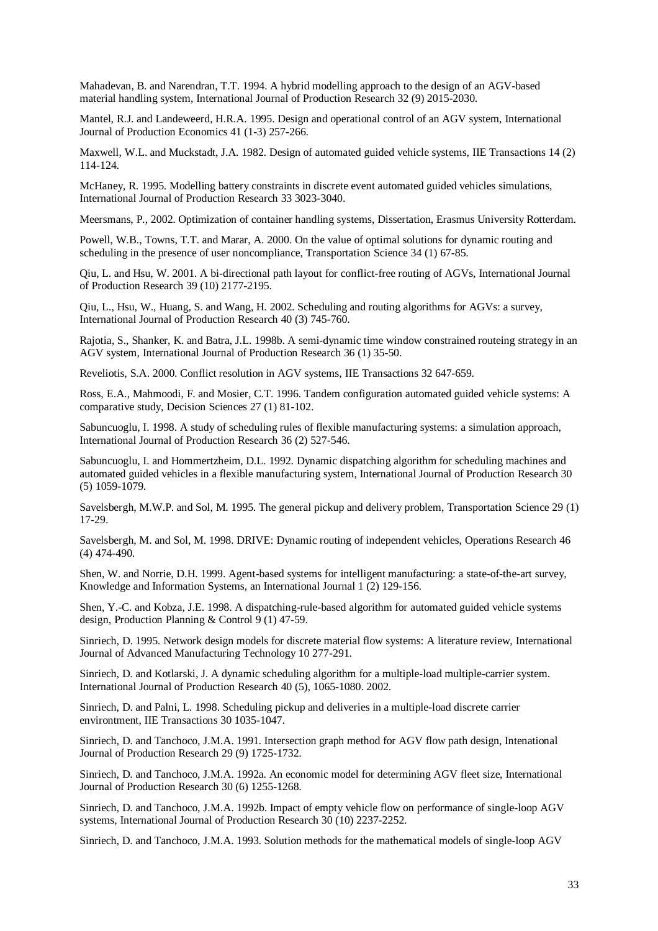Mahadevan, B. and Narendran, T.T. 1994. A hybrid modelling approach to the design of an AGV-based material handling system, International Journal of Production Research 32 (9) 2015-2030.

Mantel, R.J. and Landeweerd, H.R.A. 1995. Design and operational control of an AGV system, International Journal of Production Economics 41 (1-3) 257-266.

Maxwell, W.L. and Muckstadt, J.A. 1982. Design of automated guided vehicle systems, IIE Transactions 14 (2) 114-124.

McHaney, R. 1995. Modelling battery constraints in discrete event automated guided vehicles simulations, International Journal of Production Research 33 3023-3040.

Meersmans, P., 2002. Optimization of container handling systems, Dissertation, Erasmus University Rotterdam.

Powell, W.B., Towns, T.T. and Marar, A. 2000. On the value of optimal solutions for dynamic routing and scheduling in the presence of user noncompliance, Transportation Science 34 (1) 67-85.

Qiu, L. and Hsu, W. 2001. A bi-directional path layout for conflict-free routing of AGVs, International Journal of Production Research 39 (10) 2177-2195.

Qiu, L., Hsu, W., Huang, S. and Wang, H. 2002. Scheduling and routing algorithms for AGVs: a survey, International Journal of Production Research 40 (3) 745-760.

Rajotia, S., Shanker, K. and Batra, J.L. 1998b. A semi-dynamic time window constrained routeing strategy in an AGV system, International Journal of Production Research 36 (1) 35-50.

Reveliotis, S.A. 2000. Conflict resolution in AGV systems, IIE Transactions 32 647-659.

Ross, E.A., Mahmoodi, F. and Mosier, C.T. 1996. Tandem configuration automated guided vehicle systems: A comparative study, Decision Sciences 27 (1) 81-102.

Sabuncuoglu, I. 1998. A study of scheduling rules of flexible manufacturing systems: a simulation approach, International Journal of Production Research 36 (2) 527-546.

Sabuncuoglu, I. and Hommertzheim, D.L. 1992. Dynamic dispatching algorithm for scheduling machines and automated guided vehicles in a flexible manufacturing system, International Journal of Production Research 30 (5) 1059-1079.

Savelsbergh, M.W.P. and Sol, M. 1995. The general pickup and delivery problem, Transportation Science 29 (1) 17-29.

Savelsbergh, M. and Sol, M. 1998. DRIVE: Dynamic routing of independent vehicles, Operations Research 46 (4) 474-490.

Shen, W. and Norrie, D.H. 1999. Agent-based systems for intelligent manufacturing: a state-of-the-art survey, Knowledge and Information Systems, an International Journal 1 (2) 129-156.

Shen, Y.-C. and Kobza, J.E. 1998. A dispatching-rule-based algorithm for automated guided vehicle systems design, Production Planning & Control 9 (1) 47-59.

Sinriech, D. 1995. Network design models for discrete material flow systems: A literature review, International Journal of Advanced Manufacturing Technology 10 277-291.

Sinriech, D. and Kotlarski, J. A dynamic scheduling algorithm for a multiple-load multiple-carrier system. International Journal of Production Research 40 (5), 1065-1080. 2002.

Sinriech, D. and Palni, L. 1998. Scheduling pickup and deliveries in a multiple-load discrete carrier environtment, IIE Transactions 30 1035-1047.

Sinriech, D. and Tanchoco, J.M.A. 1991. Intersection graph method for AGV flow path design, Intenational Journal of Production Research 29 (9) 1725-1732.

Sinriech, D. and Tanchoco, J.M.A. 1992a. An economic model for determining AGV fleet size, International Journal of Production Research 30 (6) 1255-1268.

Sinriech, D. and Tanchoco, J.M.A. 1992b. Impact of empty vehicle flow on performance of single-loop AGV systems, International Journal of Production Research 30 (10) 2237-2252.

Sinriech, D. and Tanchoco, J.M.A. 1993. Solution methods for the mathematical models of single-loop AGV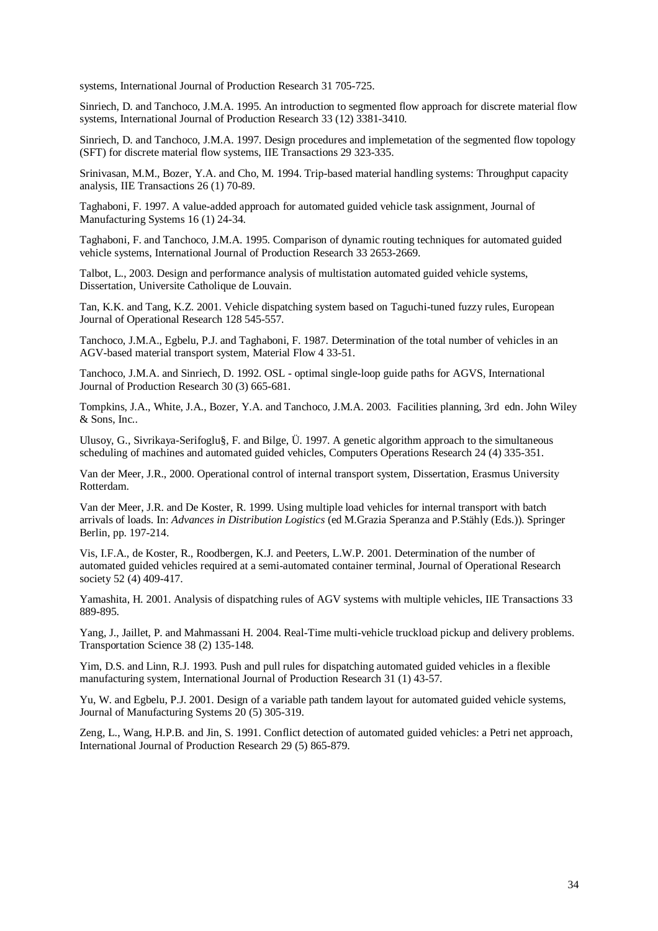systems, International Journal of Production Research 31 705-725.

Sinriech, D. and Tanchoco, J.M.A. 1995. An introduction to segmented flow approach for discrete material flow systems, International Journal of Production Research 33 (12) 3381-3410.

Sinriech, D. and Tanchoco, J.M.A. 1997. Design procedures and implemetation of the segmented flow topology (SFT) for discrete material flow systems, IIE Transactions 29 323-335.

Srinivasan, M.M., Bozer, Y.A. and Cho, M. 1994. Trip-based material handling systems: Throughput capacity analysis, IIE Transactions 26 (1) 70-89.

Taghaboni, F. 1997. A value-added approach for automated guided vehicle task assignment, Journal of Manufacturing Systems 16 (1) 24-34.

Taghaboni, F. and Tanchoco, J.M.A. 1995. Comparison of dynamic routing techniques for automated guided vehicle systems, International Journal of Production Research 33 2653-2669.

Talbot, L., 2003. Design and performance analysis of multistation automated guided vehicle systems, Dissertation, Universite Catholique de Louvain.

Tan, K.K. and Tang, K.Z. 2001. Vehicle dispatching system based on Taguchi-tuned fuzzy rules, European Journal of Operational Research 128 545-557.

Tanchoco, J.M.A., Egbelu, P.J. and Taghaboni, F. 1987. Determination of the total number of vehicles in an AGV-based material transport system, Material Flow 4 33-51.

Tanchoco, J.M.A. and Sinriech, D. 1992. OSL - optimal single-loop guide paths for AGVS, International Journal of Production Research 30 (3) 665-681.

Tompkins, J.A., White, J.A., Bozer, Y.A. and Tanchoco, J.M.A. 2003. Facilities planning, 3rd edn. John Wiley & Sons, Inc..

Ulusoy, G., Sivrikaya-Serifoglu§, F. and Bilge, Ü. 1997. A genetic algorithm approach to the simultaneous scheduling of machines and automated guided vehicles, Computers Operations Research 24 (4) 335-351.

Van der Meer, J.R., 2000. Operational control of internal transport system, Dissertation, Erasmus University Rotterdam.

Van der Meer, J.R. and De Koster, R. 1999. Using multiple load vehicles for internal transport with batch arrivals of loads. In: *Advances in Distribution Logistics* (ed M.Grazia Speranza and P.Stähly (Eds.)). Springer Berlin, pp. 197-214.

Vis, I.F.A., de Koster, R., Roodbergen, K.J. and Peeters, L.W.P. 2001. Determination of the number of automated guided vehicles required at a semi-automated container terminal, Journal of Operational Research society 52 (4) 409-417.

Yamashita, H. 2001. Analysis of dispatching rules of AGV systems with multiple vehicles, IIE Transactions 33 889-895.

Yang, J., Jaillet, P. and Mahmassani H. 2004. Real-Time multi-vehicle truckload pickup and delivery problems. Transportation Science 38 (2) 135-148.

Yim, D.S. and Linn, R.J. 1993. Push and pull rules for dispatching automated guided vehicles in a flexible manufacturing system, International Journal of Production Research 31 (1) 43-57.

Yu, W. and Egbelu, P.J. 2001. Design of a variable path tandem layout for automated guided vehicle systems, Journal of Manufacturing Systems 20 (5) 305-319.

Zeng, L., Wang, H.P.B. and Jin, S. 1991. Conflict detection of automated guided vehicles: a Petri net approach, International Journal of Production Research 29 (5) 865-879.